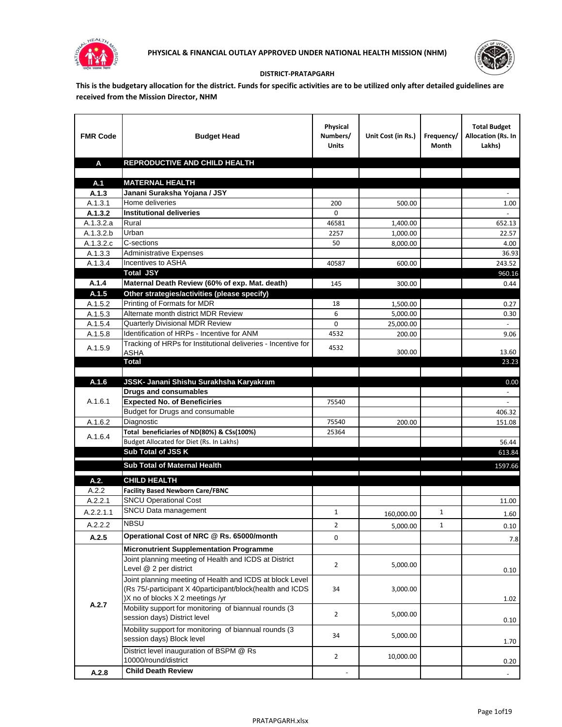



## **DISTRICT-PRATAPGARH**

**This is the budgetary allocation for the district. Funds for specific activities are to be utilized only after detailed guidelines are received from the Mission Director, NHM**

| <b>FMR Code</b>      | <b>Budget Head</b>                                                                                      | Physical<br>Numbers/<br><b>Units</b> | Unit Cost (in Rs.) | Frequency/<br>Month | <b>Total Budget</b><br>Allocation (Rs. In<br>Lakhs) |
|----------------------|---------------------------------------------------------------------------------------------------------|--------------------------------------|--------------------|---------------------|-----------------------------------------------------|
| A                    | REPRODUCTIVE AND CHILD HEALTH                                                                           |                                      |                    |                     |                                                     |
|                      |                                                                                                         |                                      |                    |                     |                                                     |
| A.1                  | <b>MATERNAL HEALTH</b>                                                                                  |                                      |                    |                     |                                                     |
| A.1.3                | Janani Suraksha Yojana / JSY                                                                            |                                      |                    |                     |                                                     |
| A.1.3.1              | Home deliveries                                                                                         | 200                                  | 500.00             |                     | 1.00                                                |
| A.1.3.2              | <b>Institutional deliveries</b>                                                                         | 0                                    |                    |                     |                                                     |
| A.1.3.2.a            | Rural                                                                                                   | 46581                                | 1,400.00           |                     | 652.13                                              |
| A.1.3.2.b            | Urban                                                                                                   | 2257                                 | 1,000.00           |                     | 22.57                                               |
| A.1.3.2.c<br>A.1.3.3 | C-sections<br><b>Administrative Expenses</b>                                                            | 50                                   | 8,000.00           |                     | 4.00                                                |
| A.1.3.4              | Incentives to ASHA                                                                                      | 40587                                | 600.00             |                     | 36.93<br>243.52                                     |
|                      | <b>Total JSY</b>                                                                                        |                                      |                    |                     | 960.16                                              |
| A.1.4                | Maternal Death Review (60% of exp. Mat. death)                                                          | 145                                  | 300.00             |                     | 0.44                                                |
| A.1.5                | Other strategies/activities (please specify)                                                            |                                      |                    |                     |                                                     |
| A.1.5.2              | Printing of Formats for MDR                                                                             | 18                                   | 1.500.00           |                     | 0.27                                                |
| A.1.5.3              | Alternate month district MDR Review                                                                     | 6                                    | 5,000.00           |                     | 0.30                                                |
| A.1.5.4              | <b>Quarterly Divisional MDR Review</b>                                                                  | 0                                    | 25,000.00          |                     |                                                     |
| A.1.5.8              | Identification of HRPs - Incentive for ANM                                                              | 4532                                 | 200.00             |                     | 9.06                                                |
|                      | Tracking of HRPs for Institutional deliveries - Incentive for                                           |                                      |                    |                     |                                                     |
| A.1.5.9              | <b>ASHA</b>                                                                                             | 4532                                 | 300.00             |                     | 13.60                                               |
|                      | <b>Total</b>                                                                                            |                                      |                    |                     | 23.23                                               |
|                      |                                                                                                         |                                      |                    |                     |                                                     |
| A.1.6                | JSSK- Janani Shishu Surakhsha Karyakram                                                                 |                                      |                    |                     | 0.00                                                |
|                      | <b>Drugs and consumables</b>                                                                            |                                      |                    |                     |                                                     |
| A.1.6.1              | <b>Expected No. of Beneficiries</b>                                                                     | 75540                                |                    |                     |                                                     |
|                      | Budget for Drugs and consumable                                                                         |                                      |                    |                     | 406.32                                              |
| A.1.6.2              | Diagnostic<br>Total beneficiaries of ND(80%) & CSs(100%)                                                | 75540                                | 200.00             |                     | 151.08                                              |
| A.1.6.4              | Budget Allocated for Diet (Rs. In Lakhs)                                                                | 25364                                |                    |                     | 56.44                                               |
|                      | Sub Total of JSS K                                                                                      |                                      |                    |                     | 613.84                                              |
|                      |                                                                                                         |                                      |                    |                     |                                                     |
|                      | Sub Total of Maternal Health                                                                            |                                      |                    |                     | 1597.66                                             |
| A.2.                 | <b>CHILD HEALTH</b>                                                                                     |                                      |                    |                     |                                                     |
| A.2.2                | <b>Facility Based Newborn Care/FBNC</b>                                                                 |                                      |                    |                     |                                                     |
| A.2.2.1              | <b>SNCU Operational Cost</b>                                                                            |                                      |                    |                     | 11.00                                               |
| A.2.2.1.1            | SNCU Data management                                                                                    | $\mathbf{1}$                         | 160,000.00         | $\mathbf{1}$        | 1.60                                                |
| A.2.2.2              | <b>NBSU</b>                                                                                             | $\overline{\mathbf{c}}$              | 5,000.00           | 1                   | 0.10                                                |
| A.2.5                | Operational Cost of NRC @ Rs. 65000/month                                                               | 0                                    |                    |                     |                                                     |
|                      |                                                                                                         |                                      |                    |                     | 7.8                                                 |
|                      | <b>Micronutrient Supplementation Programme</b><br>Joint planning meeting of Health and ICDS at District |                                      |                    |                     |                                                     |
|                      | Level @ 2 per district                                                                                  | $\overline{2}$                       | 5,000.00           |                     |                                                     |
|                      | Joint planning meeting of Health and ICDS at block Level                                                |                                      |                    |                     | 0.10                                                |
|                      | (Rs 75/-participant X 40participant/block(health and ICDS                                               | 34                                   | 3,000.00           |                     |                                                     |
|                      | )X no of blocks X 2 meetings /yr                                                                        |                                      |                    |                     | 1.02                                                |
| A.2.7                | Mobility support for monitoring of biannual rounds (3                                                   |                                      |                    |                     |                                                     |
|                      | session days) District level                                                                            | $\overline{2}$                       | 5,000.00           |                     | 0.10                                                |
|                      | Mobility support for monitoring of biannual rounds (3                                                   |                                      |                    |                     |                                                     |
|                      | session days) Block level                                                                               | 34                                   | 5,000.00           |                     | 1.70                                                |
|                      | District level inauguration of BSPM @ Rs                                                                |                                      |                    |                     |                                                     |
|                      | 10000/round/district                                                                                    | $\overline{2}$                       | 10,000.00          |                     | 0.20                                                |
| A.2.8                | <b>Child Death Review</b>                                                                               |                                      |                    |                     | $\overline{\phantom{a}}$                            |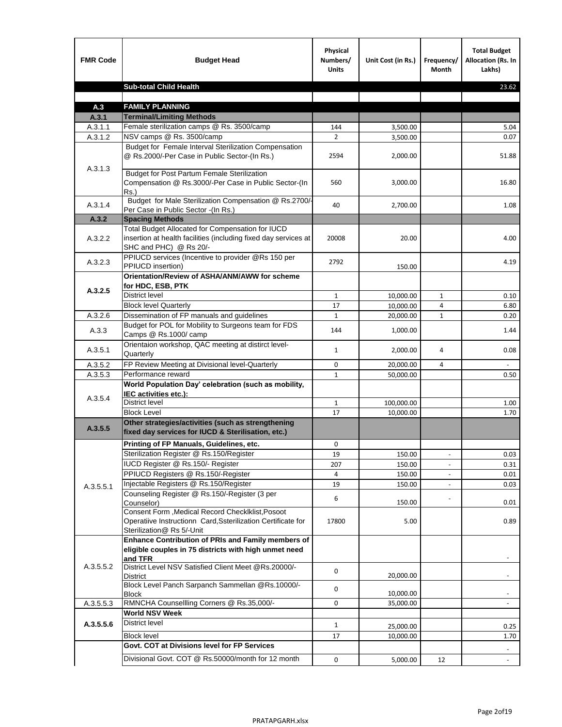| <b>FMR Code</b> | <b>Budget Head</b>                                                                                                                             | Physical<br>Numbers/<br><b>Units</b> | Unit Cost (in Rs.) | Frequency/<br><b>Month</b> | <b>Total Budget</b><br>Allocation (Rs. In<br>Lakhs) |
|-----------------|------------------------------------------------------------------------------------------------------------------------------------------------|--------------------------------------|--------------------|----------------------------|-----------------------------------------------------|
|                 | <b>Sub-total Child Health</b>                                                                                                                  |                                      |                    |                            | 23.62                                               |
|                 |                                                                                                                                                |                                      |                    |                            |                                                     |
| A.3             | <b>FAMILY PLANNING</b>                                                                                                                         |                                      |                    |                            |                                                     |
| A.3.1           | <b>Terminal/Limiting Methods</b>                                                                                                               |                                      |                    |                            |                                                     |
| A.3.1.1         | Female sterilization camps @ Rs. 3500/camp<br>NSV camps @ Rs. 3500/camp                                                                        | 144<br>$\overline{2}$                | 3,500.00           |                            | 5.04<br>0.07                                        |
| A.3.1.2         | Budget for Female Interval Sterilization Compensation                                                                                          |                                      | 3,500.00           |                            |                                                     |
| A.3.1.3         | @ Rs.2000/-Per Case in Public Sector-(In Rs.)                                                                                                  | 2594                                 | 2,000.00           |                            | 51.88                                               |
|                 | <b>Budget for Post Partum Female Sterilization</b><br>Compensation @ Rs.3000/-Per Case in Public Sector-(In<br>$Rs.$ )                         | 560                                  | 3,000.00           |                            | 16.80                                               |
| A.3.1.4         | Budget for Male Sterilization Compensation @ Rs.2700/-<br>Per Case in Public Sector -(In Rs.)                                                  | 40                                   | 2,700.00           |                            | 1.08                                                |
| A.3.2           | <b>Spacing Methods</b>                                                                                                                         |                                      |                    |                            |                                                     |
| A.3.2.2         | Total Budget Allocated for Compensation for IUCD<br>insertion at health facilities (including fixed day services at<br>SHC and PHC) @ Rs 20/-  | 20008                                | 20.00              |                            | 4.00                                                |
| A.3.2.3         | PPIUCD services (Incentive to provider @Rs 150 per<br>PPIUCD insertion)                                                                        | 2792                                 | 150.00             |                            | 4.19                                                |
|                 | Orientation/Review of ASHA/ANM/AWW for scheme<br>for HDC, ESB, PTK                                                                             |                                      |                    |                            |                                                     |
| A.3.2.5         | <b>District level</b>                                                                                                                          | $\mathbf{1}$                         | 10,000.00          | $\mathbf{1}$               | 0.10                                                |
|                 | <b>Block level Quarterly</b>                                                                                                                   | 17                                   | 10,000.00          | 4                          | 6.80                                                |
| A.3.2.6         | Dissemination of FP manuals and guidelines                                                                                                     | $\mathbf{1}$                         | 20,000.00          | $\mathbf{1}$               | 0.20                                                |
| A.3.3           | Budget for POL for Mobility to Surgeons team for FDS<br>Camps @ Rs.1000/ camp                                                                  | 144                                  | 1,000.00           |                            | 1.44                                                |
| A.3.5.1         | Orientaion workshop, QAC meeting at distirct level-<br>Quarterly                                                                               | $\mathbf{1}$                         | 2,000.00           | 4                          | 0.08                                                |
| A.3.5.2         | FP Review Meeting at Divisional level-Quarterly                                                                                                | 0                                    | 20,000.00          | 4                          |                                                     |
| A.3.5.3         | Performance reward                                                                                                                             | $\mathbf{1}$                         | 50,000.00          |                            | 0.50                                                |
| A.3.5.4         | World Population Day' celebration (such as mobility,<br>IEC activities etc.):                                                                  |                                      |                    |                            |                                                     |
|                 | District level                                                                                                                                 | $\mathbf{1}$                         | 100,000.00         |                            | 1.00                                                |
|                 | <b>Block Level</b>                                                                                                                             | 17                                   | 10,000.00          |                            | 1.70                                                |
| A.3.5.5         | Other strategies/activities (such as strengthening<br>fixed day services for IUCD & Sterilisation, etc.)                                       |                                      |                    |                            |                                                     |
|                 | Printing of FP Manuals, Guidelines, etc.                                                                                                       | 0                                    |                    |                            |                                                     |
|                 | Sterilization Register @ Rs.150/Register                                                                                                       | 19                                   | 150.00             | $\centerdot$               | 0.03                                                |
|                 | IUCD Register @ Rs.150/- Register                                                                                                              | 207                                  | 150.00             |                            | 0.31                                                |
|                 | PPIUCD Registers @ Rs.150/-Register                                                                                                            | 4                                    | 150.00             |                            | 0.01                                                |
| A.3.5.5.1       | Injectable Registers @ Rs.150/Register                                                                                                         | 19                                   | 150.00             |                            | 0.03                                                |
|                 | Counseling Register @ Rs.150/-Register (3 per<br>Counselor)                                                                                    | 6                                    | 150.00             |                            | 0.01                                                |
|                 | Consent Form , Medical Record CheckIklist, Posoot<br>Operatiive Instructionn Card, Ssterilization Certificate for<br>Sterilization@ Rs 5/-Unit | 17800                                | 5.00               |                            | 0.89                                                |
|                 | Enhance Contribution of PRIs and Family members of<br>eligible couples in 75 districts with high unmet need<br>and TFR                         |                                      |                    |                            |                                                     |
| A.3.5.5.2       | District Level NSV Satisfied Client Meet @Rs.20000/-<br>District                                                                               | 0                                    | 20,000.00          |                            |                                                     |
|                 | Block Level Panch Sarpanch Sammellan @Rs.10000/-<br><b>Block</b>                                                                               | 0                                    | 10,000.00          |                            |                                                     |
| A.3.5.5.3       | RMNCHA Counsellling Corners @ Rs.35,000/-                                                                                                      | 0                                    | 35,000.00          |                            |                                                     |
|                 | <b>World NSV Week</b>                                                                                                                          |                                      |                    |                            |                                                     |
| A.3.5.5.6       | <b>District level</b>                                                                                                                          | $\mathbf{1}$                         | 25,000.00          |                            | 0.25                                                |
|                 | <b>Block level</b>                                                                                                                             | 17                                   | 10,000.00          |                            | 1.70                                                |
|                 | Govt. COT at Divisions level for FP Services                                                                                                   |                                      |                    |                            |                                                     |
|                 | Divisional Govt. COT @ Rs.50000/month for 12 month                                                                                             | 0                                    | 5,000.00           | 12                         | $\blacksquare$                                      |
|                 |                                                                                                                                                |                                      |                    |                            |                                                     |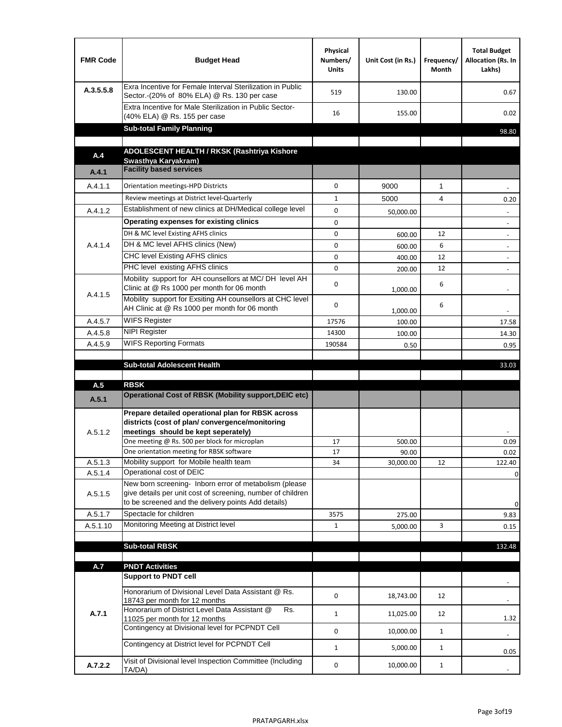| <b>FMR Code</b> | <b>Budget Head</b>                                                                                                                                                           | Physical<br>Numbers/<br><b>Units</b> | Unit Cost (in Rs.) | Frequency/<br>Month | <b>Total Budget</b><br>Allocation (Rs. In<br>Lakhs) |
|-----------------|------------------------------------------------------------------------------------------------------------------------------------------------------------------------------|--------------------------------------|--------------------|---------------------|-----------------------------------------------------|
| A.3.5.5.8       | Exra Incentive for Female Interval Sterilization in Public<br>Sector.-(20% of 80% ELA) @ Rs. 130 per case                                                                    | 519                                  | 130.00             |                     | 0.67                                                |
|                 | Extra Incentive for Male Sterilization in Public Sector-<br>(40% ELA) @ Rs. 155 per case                                                                                     | 16                                   | 155.00             |                     | 0.02                                                |
|                 | <b>Sub-total Family Planning</b>                                                                                                                                             |                                      |                    |                     | 98.80                                               |
|                 | ADOLESCENT HEALTH / RKSK (Rashtriya Kishore                                                                                                                                  |                                      |                    |                     |                                                     |
| A.4             | Swasthya Karyakram)                                                                                                                                                          |                                      |                    |                     |                                                     |
| A.4.1           | <b>Facility based services</b>                                                                                                                                               |                                      |                    |                     |                                                     |
| A.4.1.1         | Orientation meetings-HPD Districts                                                                                                                                           | $\Omega$                             | 9000               | $\mathbf{1}$        |                                                     |
|                 | Review meetings at District level-Quarterly                                                                                                                                  | $\mathbf{1}$                         | 5000               | 4                   | 0.20                                                |
| A.4.1.2         | Establishment of new clinics at DH/Medical college level                                                                                                                     | $\Omega$                             | 50,000.00          |                     |                                                     |
|                 | Operating expenses for existing clinics                                                                                                                                      | 0                                    |                    |                     |                                                     |
|                 | DH & MC level Existing AFHS clinics                                                                                                                                          | 0                                    | 600.00             | 12                  |                                                     |
| A.4.1.4         | DH & MC level AFHS clinics (New)                                                                                                                                             | 0                                    | 600.00             | 6                   | $\overline{\phantom{a}}$                            |
|                 | CHC level Existing AFHS clinics                                                                                                                                              | 0                                    | 400.00             | 12                  | $\overline{\phantom{a}}$                            |
|                 | PHC level existing AFHS clinics                                                                                                                                              | $\Omega$                             | 200.00             | 12                  | $\blacksquare$                                      |
| A.4.1.5         | Mobility support for AH counsellors at MC/DH level AH<br>Clinic at @ Rs 1000 per month for 06 month                                                                          | 0                                    | 1,000.00           | 6                   |                                                     |
|                 | Mobility support for Exsiting AH counsellors at CHC level<br>AH Clinic at @ Rs 1000 per month for 06 month                                                                   | 0                                    | 1,000.00           | 6                   |                                                     |
| A.4.5.7         | <b>WIFS Register</b>                                                                                                                                                         | 17576                                | 100.00             |                     | 17.58                                               |
| A.4.5.8         | <b>NIPI Register</b>                                                                                                                                                         | 14300                                | 100.00             |                     | 14.30                                               |
| A.4.5.9         | <b>WIFS Reporting Formats</b>                                                                                                                                                | 190584                               | 0.50               |                     | 0.95                                                |
|                 |                                                                                                                                                                              |                                      |                    |                     |                                                     |
|                 | <b>Sub-total Adolescent Health</b>                                                                                                                                           |                                      |                    |                     | 33.03                                               |
| A.5             | <b>RBSK</b>                                                                                                                                                                  |                                      |                    |                     |                                                     |
| A.5.1           | <b>Operational Cost of RBSK (Mobility support, DEIC etc)</b>                                                                                                                 |                                      |                    |                     |                                                     |
| A.5.1.2         | Prepare detailed operational plan for RBSK across<br>districts (cost of plan/convergence/monitoring<br>meetings should be kept seperately)                                   |                                      |                    |                     |                                                     |
|                 | One meeting @ Rs. 500 per block for microplan                                                                                                                                | 17                                   | 500.00             |                     | 0.09                                                |
|                 | One orientation meeting for RBSK software                                                                                                                                    | 17                                   | 90.00              |                     | 0.02                                                |
| A.5.1.3         | Mobility support for Mobile health team                                                                                                                                      | 34                                   | 30,000.00          | 12                  | 122.40                                              |
| A.5.1.4         | Operational cost of DEIC                                                                                                                                                     |                                      |                    |                     | 0                                                   |
| A.5.1.5         | New born screening- Inborn error of metabolism (please<br>give details per unit cost of screening, number of children<br>to be screened and the delivery points Add details) |                                      |                    |                     | 0                                                   |
| A.5.1.7         | Spectacle for children                                                                                                                                                       | 3575                                 | 275.00             |                     | 9.83                                                |
| A.5.1.10        | Monitoring Meeting at District level                                                                                                                                         | $\mathbf{1}$                         | 5,000.00           | 3                   | 0.15                                                |
|                 |                                                                                                                                                                              |                                      |                    |                     |                                                     |
|                 | <b>Sub-total RBSK</b>                                                                                                                                                        |                                      |                    |                     | 132.48                                              |
| A.7             | <b>PNDT Activities</b>                                                                                                                                                       |                                      |                    |                     |                                                     |
|                 | <b>Support to PNDT cell</b>                                                                                                                                                  |                                      |                    |                     |                                                     |
|                 | Honorarium of Divisional Level Data Assistant @ Rs.<br>18743 per month for 12 months                                                                                         | 0                                    | 18,743.00          | 12                  |                                                     |
| A.7.1           | Honorarium of District Level Data Assistant @<br>Rs.<br>11025 per month for 12 months                                                                                        | $\mathbf{1}$                         | 11,025.00          | 12                  | 1.32                                                |
|                 | Contingency at Divisional level for PCPNDT Cell                                                                                                                              | 0                                    | 10,000.00          | $\mathbf{1}$        | $\overline{\phantom{a}}$                            |
|                 | Contingency at District level for PCPNDT Cell                                                                                                                                | $\mathbf{1}$                         | 5,000.00           | $\mathbf{1}$        | 0.05                                                |
| A.7.2.2         | Visit of Divisional level Inspection Committee (Including<br>TA/DA)                                                                                                          | 0                                    | 10,000.00          | $\mathbf{1}$        |                                                     |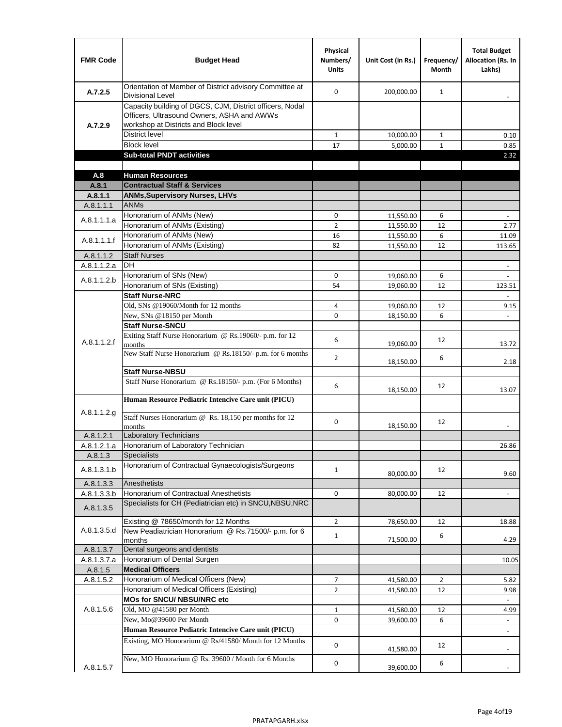| <b>FMR Code</b>      | <b>Budget Head</b>                                                                                                                              | Physical<br>Numbers/<br><b>Units</b> | Unit Cost (in Rs.)     | Frequency/<br>Month | <b>Total Budget</b><br>Allocation (Rs. In<br>Lakhs) |
|----------------------|-------------------------------------------------------------------------------------------------------------------------------------------------|--------------------------------------|------------------------|---------------------|-----------------------------------------------------|
| A.7.2.5              | Orientation of Member of District advisory Committee at<br><b>Divisional Level</b>                                                              | $\Omega$                             | 200,000.00             | $\mathbf{1}$        | $\overline{\phantom{a}}$                            |
| A.7.2.9              | Capacity building of DGCS, CJM, District officers, Nodal<br>Officers, Ultrasound Owners, ASHA and AWWs<br>workshop at Districts and Block level |                                      |                        |                     |                                                     |
|                      | <b>District level</b>                                                                                                                           | $\mathbf{1}$                         | 10,000.00              | $\mathbf{1}$        | 0.10                                                |
|                      | <b>Block level</b>                                                                                                                              | 17                                   | 5,000.00               | $\mathbf{1}$        | 0.85                                                |
|                      | <b>Sub-total PNDT activities</b>                                                                                                                |                                      |                        |                     | 2.32                                                |
|                      |                                                                                                                                                 |                                      |                        |                     |                                                     |
| A.8                  | <b>Human Resources</b>                                                                                                                          |                                      |                        |                     |                                                     |
| A.8.1                | <b>Contractual Staff &amp; Services</b>                                                                                                         |                                      |                        |                     |                                                     |
| A.8.1.1<br>A.8.1.1.1 | <b>ANMs, Supervisory Nurses, LHVs</b><br><b>ANMs</b>                                                                                            |                                      |                        |                     |                                                     |
|                      | Honorarium of ANMs (New)                                                                                                                        | 0                                    |                        | 6                   |                                                     |
| A.8.1.1.1.a          | Honorarium of ANMs (Existing)                                                                                                                   | $\overline{2}$                       | 11,550.00<br>11,550.00 | 12                  | $\overline{\phantom{a}}$<br>2.77                    |
|                      | Honorarium of ANMs (New)                                                                                                                        | 16                                   | 11,550.00              | 6                   | 11.09                                               |
| A.8.1.1.1.f          | Honorarium of ANMs (Existing)                                                                                                                   | 82                                   | 11,550.00              | 12                  | 113.65                                              |
| A.8.1.1.2            | <b>Staff Nurses</b>                                                                                                                             |                                      |                        |                     |                                                     |
| A.8.1.1.2.a          | <b>DH</b>                                                                                                                                       |                                      |                        |                     | $\frac{1}{2}$                                       |
|                      | Honorarium of SNs (New)                                                                                                                         | 0                                    | 19,060.00              | 6                   |                                                     |
| A.8.1.1.2.b          | Honorarium of SNs (Existing)                                                                                                                    | 54                                   | 19,060.00              | 12                  | 123.51                                              |
|                      | <b>Staff Nurse-NRC</b>                                                                                                                          |                                      |                        |                     |                                                     |
|                      | Old, SNs @19060/Month for 12 months                                                                                                             | 4                                    | 19,060.00              | 12                  | 9.15                                                |
|                      | New, SNs @18150 per Month                                                                                                                       | 0                                    | 18,150.00              | 6                   |                                                     |
|                      | <b>Staff Nurse-SNCU</b>                                                                                                                         |                                      |                        |                     |                                                     |
| A.8.1.1.2.f          | Exiting Staff Nurse Honorarium @ Rs.19060/- p.m. for 12<br>months                                                                               | 6                                    | 19,060.00              | 12                  | 13.72                                               |
|                      | New Staff Nurse Honorarium @ Rs.18150/- p.m. for 6 months                                                                                       | $\overline{2}$                       | 18,150.00              | 6                   | 2.18                                                |
|                      | <b>Staff Nurse-NBSU</b>                                                                                                                         |                                      |                        |                     |                                                     |
|                      | Staff Nurse Honorarium @ Rs.18150/- p.m. (For 6 Months)<br>Human Resource Pediatric Intencive Care unit (PICU)                                  | 6                                    | 18,150.00              | 12                  | 13.07                                               |
|                      |                                                                                                                                                 |                                      |                        |                     |                                                     |
| A.8.1.1.2.g          | Staff Nurses Honorarium @ Rs. 18,150 per months for 12<br>months                                                                                | 0                                    | 18,150.00              | 12                  |                                                     |
| A.8.1.2.1            | <b>Laboratory Technicians</b>                                                                                                                   |                                      |                        |                     |                                                     |
| A.8.1.2.1.a          | Honorarium of Laboratory Technician                                                                                                             |                                      |                        |                     | 26.86                                               |
| A.8.1.3              | <b>Specialists</b>                                                                                                                              |                                      |                        |                     |                                                     |
| A.8.1.3.1.b          | Honorarium of Contractual Gynaecologists/Surgeons                                                                                               | $\mathbf{1}$                         | 80,000.00              | 12                  | 9.60                                                |
| A.8.1.3.3            | Anesthetists                                                                                                                                    |                                      |                        |                     |                                                     |
| A.8.1.3.3.b          | Honorarium of Contractual Anesthetists                                                                                                          | 0                                    | 80,000.00              | 12                  | $\overline{\phantom{a}}$                            |
| A.8.1.3.5            | Specialists for CH (Pediatrician etc) in SNCU, NBSU, NRC                                                                                        |                                      |                        |                     |                                                     |
|                      | Existing @ 78650/month for 12 Months                                                                                                            | $\overline{2}$                       | 78,650.00              | 12                  | 18.88                                               |
| A.8.1.3.5.d          | New Peadiatrician Honorarium @ Rs.71500/- p.m. for 6<br>months                                                                                  | $\mathbf{1}$                         | 71,500.00              | 6                   | 4.29                                                |
| A.8.1.3.7            | Dental surgeons and dentists                                                                                                                    |                                      |                        |                     |                                                     |
| A.8.1.3.7.a          | Honorarium of Dental Surgen                                                                                                                     |                                      |                        |                     | 10.05                                               |
| A.8.1.5              | <b>Medical Officers</b>                                                                                                                         |                                      |                        |                     |                                                     |
| A.8.1.5.2            | Honorarium of Medical Officers (New)                                                                                                            | $\overline{7}$                       | 41,580.00              | $\overline{2}$      | 5.82                                                |
|                      | Honorarium of Medical Officers (Existing)                                                                                                       | $\overline{2}$                       | 41,580.00              | 12                  | 9.98                                                |
|                      | MOs for SNCU/ NBSU/NRC etc                                                                                                                      |                                      |                        |                     |                                                     |
| A.8.1.5.6            | Old, MO @41580 per Month                                                                                                                        | $1\,$                                | 41,580.00              | 12                  | 4.99                                                |
|                      | New, Mo@39600 Per Month                                                                                                                         | 0                                    | 39,600.00              | 6                   | $\overline{\phantom{a}}$                            |
|                      | Human Resource Pediatric Intencive Care unit (PICU)                                                                                             |                                      |                        |                     |                                                     |
|                      | Existing, MO Honorarium @ Rs/41580/ Month for 12 Months                                                                                         | $\mathbf 0$                          | 41,580.00              | 12                  |                                                     |
| A.8.1.5.7            | New, MO Honorarium @ Rs. 39600 / Month for 6 Months                                                                                             | 0                                    | 39,600.00              | 6                   |                                                     |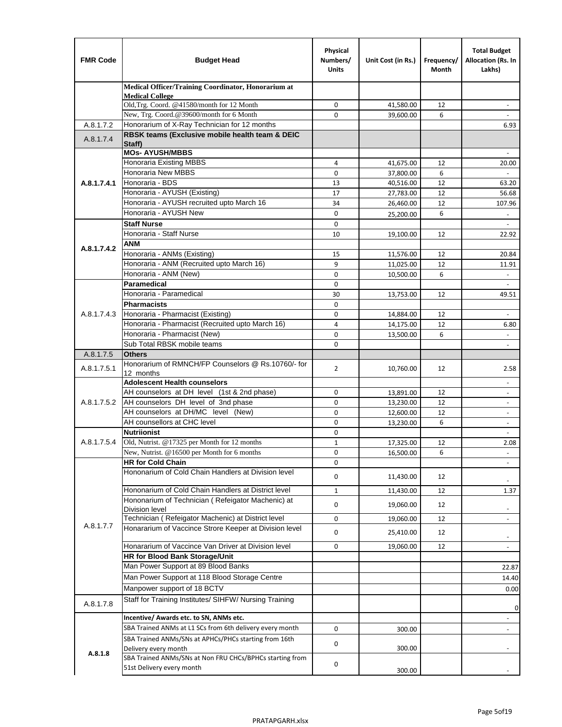| <b>FMR Code</b> | <b>Budget Head</b>                                                            | Physical<br>Numbers/<br><b>Units</b> | Unit Cost (in Rs.)     | Frequency/<br>Month | <b>Total Budget</b><br>Allocation (Rs. In<br>Lakhs) |
|-----------------|-------------------------------------------------------------------------------|--------------------------------------|------------------------|---------------------|-----------------------------------------------------|
|                 | Medical Officer/Training Coordinator, Honorarium at                           |                                      |                        |                     |                                                     |
|                 | <b>Medical College</b><br>Old, Trg. Coord. @41580/month for 12 Month          | $\mathbf 0$                          | 41,580.00              | 12                  | $\overline{\phantom{a}}$                            |
|                 | New, Trg. Coord.@39600/month for 6 Month                                      | $\Omega$                             | 39,600.00              | 6                   |                                                     |
| A.8.1.7.2       | Honorarium of X-Ray Technician for 12 months                                  |                                      |                        |                     | 6.93                                                |
| A.8.1.7.4       | RBSK teams (Exclusive mobile health team & DEIC<br>Staff)                     |                                      |                        |                     |                                                     |
|                 | <b>MOs- AYUSH/MBBS</b>                                                        |                                      |                        |                     |                                                     |
|                 | <b>Honoraria Existing MBBS</b>                                                | 4                                    | 41,675.00              | 12                  | 20.00                                               |
|                 | Honoraria New MBBS                                                            | 0                                    | 37,800.00              | 6                   | $\blacksquare$                                      |
| A.8.1.7.4.1     | Honoraria - BDS                                                               | 13                                   | 40,516.00              | 12                  | 63.20                                               |
|                 | Honoraria - AYUSH (Existing)<br>Honoraria - AYUSH recruited upto March 16     | 17<br>34                             | 27,783.00              | 12<br>12            | 56.68<br>107.96                                     |
|                 | Honoraria - AYUSH New                                                         | $\mathbf 0$                          | 26,460.00<br>25,200.00 | 6                   |                                                     |
|                 | <b>Staff Nurse</b>                                                            | $\Omega$                             |                        |                     | $\overline{\phantom{a}}$                            |
|                 | Honoraria - Staff Nurse                                                       | 10                                   | 19,100.00              | 12                  | 22.92                                               |
|                 | <b>ANM</b>                                                                    |                                      |                        |                     |                                                     |
| A.8.1.7.4.2     | Honoraria - ANMs (Existing)                                                   | 15                                   | 11,576.00              | 12                  | 20.84                                               |
|                 | Honoraria - ANM (Recruited upto March 16)                                     | 9                                    | 11,025.00              | 12                  | 11.91                                               |
|                 | Honoraria - ANM (New)                                                         | 0                                    | 10,500.00              | 6                   |                                                     |
|                 | Paramedical                                                                   | $\mathbf 0$                          |                        |                     | $\blacksquare$                                      |
|                 | Honoraria - Paramedical                                                       | 30                                   | 13,753.00              | 12                  | 49.51                                               |
|                 | <b>Pharmacists</b>                                                            | $\mathbf 0$                          |                        |                     |                                                     |
| A.8.1.7.4.3     | Honoraria - Pharmacist (Existing)                                             | 0                                    | 14,884.00              | 12                  | $\overline{\phantom{a}}$                            |
|                 | Honoraria - Pharmacist (Recruited upto March 16)                              | 4                                    | 14,175.00              | 12                  | 6.80                                                |
|                 | Honoraria - Pharmacist (New)                                                  | $\mathbf 0$                          | 13,500.00              | 6                   | $\overline{a}$                                      |
|                 | Sub Total RBSK mobile teams                                                   | $\Omega$                             |                        |                     | $\overline{\phantom{a}}$                            |
| A.8.1.7.5       | <b>Others</b>                                                                 |                                      |                        |                     |                                                     |
| A.8.1.7.5.1     | Honorarium of RMNCH/FP Counselors @ Rs.10760/- for<br>12 months               | $\overline{2}$                       | 10,760.00              | 12                  | 2.58                                                |
|                 | <b>Adolescent Health counselors</b>                                           |                                      |                        |                     | $\overline{\phantom{a}}$                            |
|                 | AH counselors at DH level (1st & 2nd phase)                                   | 0                                    | 13,891.00              | 12                  | $\overline{\phantom{a}}$                            |
| A.8.1.7.5.2     | AH counselors DH level of 3nd phase                                           | $\mathbf 0$                          | 13,230.00              | 12                  | $\overline{\phantom{a}}$                            |
|                 | AH counselors at DH/MC level (New)                                            | 0                                    | 12,600.00              | 12                  | $\blacksquare$                                      |
|                 | AH counsellors at CHC level                                                   | $\mathbf 0$                          | 13,230.00              | 6                   | ÷,                                                  |
|                 | <b>Nutriionist</b>                                                            | 0                                    |                        |                     | $\overline{\phantom{a}}$                            |
| A.8.1.7.5.4     | Old, Nutrist. @17325 per Month for 12 months                                  | $\mathbf{1}$                         | 17,325.00              | 12                  | 2.08                                                |
|                 | New, Nutrist. $@16500$ per Month for 6 months                                 | 0                                    | 16,500.00              | 6                   |                                                     |
|                 | <b>HR for Cold Chain</b>                                                      | 0                                    |                        |                     |                                                     |
|                 | Hononarium of Cold Chain Handlers at Division level                           | 0                                    | 11,430.00              | 12                  |                                                     |
|                 | Hononarium of Cold Chain Handlers at District level                           | 1                                    | 11,430.00              | 12                  | 1.37                                                |
|                 | Hononarium of Technician (Refeigator Machenic) at                             | 0                                    | 19,060.00              | 12                  |                                                     |
|                 | <b>Division level</b><br>Technician (Refeigator Machenic) at District level   | 0                                    | 19,060.00              | 12                  | $\overline{\phantom{a}}$<br>$\blacksquare$          |
| A.8.1.7.7       | Honararium of Vaccince Strore Keeper at Division level                        |                                      |                        |                     |                                                     |
|                 |                                                                               | 0                                    | 25,410.00              | 12                  | $\overline{\phantom{a}}$                            |
|                 | Honararium of Vaccince Van Driver at Division level                           | 0                                    | 19,060.00              | 12                  | $\overline{\phantom{a}}$                            |
|                 | <b>HR for Blood Bank Storage/Unit</b><br>Man Power Support at 89 Blood Banks  |                                      |                        |                     |                                                     |
|                 | Man Power Support at 118 Blood Storage Centre                                 |                                      |                        |                     | 22.87                                               |
|                 |                                                                               |                                      |                        |                     | 14.40                                               |
|                 | Manpower support of 18 BCTV                                                   |                                      |                        |                     | 0.00                                                |
| A.8.1.7.8       | Staff for Training Institutes/ SIHFW/ Nursing Training                        |                                      |                        |                     | 0                                                   |
|                 | Incentive/ Awards etc. to SN, ANMs etc.                                       |                                      |                        |                     | $\overline{\phantom{a}}$                            |
|                 | SBA Trained ANMs at L1 SCs from 6th delivery every month                      | $\mathbf 0$                          | 300.00                 |                     | $\blacksquare$                                      |
|                 | SBA Trained ANMs/SNs at APHCs/PHCs starting from 16th<br>Delivery every month | 0                                    | 300.00                 |                     |                                                     |
| A.8.1.8         | SBA Trained ANMs/SNs at Non FRU CHCs/BPHCs starting from                      | 0                                    |                        |                     |                                                     |
|                 | 51st Delivery every month                                                     |                                      | 300.00                 |                     |                                                     |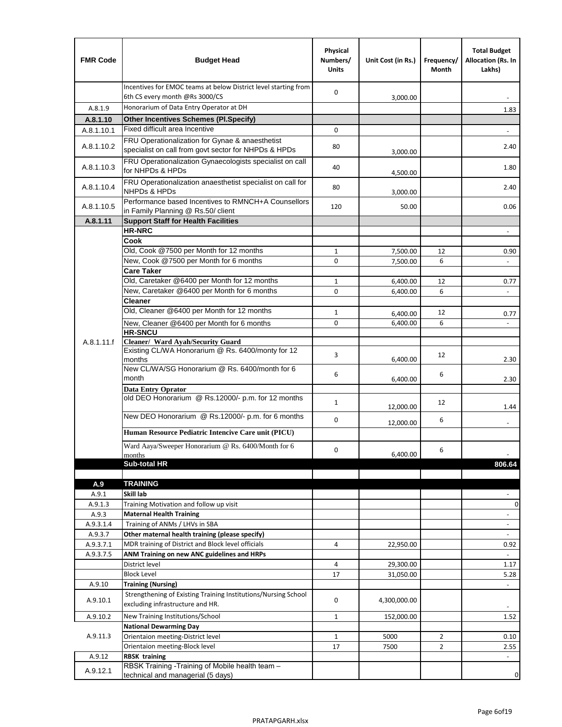| <b>FMR Code</b>  | <b>Budget Head</b>                                                                                      | Physical<br>Numbers/<br><b>Units</b> | Unit Cost (in Rs.)   | Frequency/<br>Month | <b>Total Budget</b><br>Allocation (Rs. In<br>Lakhs) |
|------------------|---------------------------------------------------------------------------------------------------------|--------------------------------------|----------------------|---------------------|-----------------------------------------------------|
|                  | Incentives for EMOC teams at below District level starting from<br>6th CS every month @Rs 3000/CS       | $\mathbf 0$                          | 3,000.00             |                     |                                                     |
| A.8.1.9          | Honorarium of Data Entry Operator at DH                                                                 |                                      |                      |                     | 1.83                                                |
| A.8.1.10         | <b>Other Incentives Schemes (PI.Specify)</b>                                                            |                                      |                      |                     |                                                     |
| A.8.1.10.1       | Fixed difficult area Incentive                                                                          | $\mathbf 0$                          |                      |                     |                                                     |
| A.8.1.10.2       | FRU Operationalization for Gynae & anaesthetist<br>specialist on call from govt sector for NHPDs & HPDs | 80                                   | 3,000.00             |                     | 2.40                                                |
| A.8.1.10.3       | FRU Operationalization Gynaecologists specialist on call<br>for NHPDs & HPDs                            | 40                                   | 4,500.00             |                     | 1.80                                                |
| A.8.1.10.4       | FRU Operationalization anaesthetist specialist on call for<br><b>NHPDs &amp; HPDs</b>                   | 80                                   | 3,000.00             |                     | 2.40                                                |
| A.8.1.10.5       | Performance based Incentives to RMNCH+A Counsellors<br>in Family Planning @ Rs.50/ client               | 120                                  | 50.00                |                     | 0.06                                                |
| A.8.1.11         | <b>Support Staff for Health Facilities</b>                                                              |                                      |                      |                     |                                                     |
|                  | <b>HR-NRC</b>                                                                                           |                                      |                      |                     | $\qquad \qquad \blacksquare$                        |
|                  | Cook                                                                                                    |                                      |                      |                     |                                                     |
|                  | Old, Cook @7500 per Month for 12 months                                                                 | $\mathbf{1}$                         | 7,500.00             | 12                  | 0.90                                                |
|                  | New, Cook @7500 per Month for 6 months                                                                  | 0                                    | 7,500.00             | 6                   | $\Box$                                              |
|                  | <b>Care Taker</b><br>Old, Caretaker @6400 per Month for 12 months                                       |                                      |                      |                     |                                                     |
|                  | New, Caretaker @6400 per Month for 6 months                                                             | $\mathbf{1}$<br>0                    | 6,400.00             | 12<br>6             | 0.77<br>÷,                                          |
|                  | <b>Cleaner</b>                                                                                          |                                      | 6,400.00             |                     |                                                     |
|                  | Old, Cleaner @6400 per Month for 12 months                                                              | $\mathbf{1}$                         |                      | 12                  |                                                     |
|                  | New, Cleaner @6400 per Month for 6 months                                                               | $\mathbf 0$                          | 6,400.00<br>6,400.00 | 6                   | 0.77                                                |
|                  | <b>HR-SNCU</b>                                                                                          |                                      |                      |                     |                                                     |
| A.8.1.11.f       | Cleaner/ Ward Ayah/Security Guard                                                                       |                                      |                      |                     |                                                     |
|                  | Existing CL/WA Honorarium @ Rs. 6400/monty for 12<br>months                                             | 3                                    | 6,400.00             | 12                  | 2.30                                                |
|                  | New CL/WA/SG Honorarium @ Rs. 6400/month for 6<br>month                                                 | 6                                    | 6,400.00             | 6                   | 2.30                                                |
|                  | <b>Data Entry Oprator</b>                                                                               |                                      |                      |                     |                                                     |
|                  | old DEO Honorarium @ Rs.12000/- p.m. for 12 months                                                      | $\mathbf{1}$                         | 12,000.00            | 12                  | 1.44                                                |
|                  | New DEO Honorarium @ Rs.12000/- p.m. for 6 months                                                       | 0                                    | 12,000.00            | 6                   |                                                     |
|                  | Human Resource Pediatric Intencive Care unit (PICU)                                                     |                                      |                      |                     |                                                     |
|                  | Ward Aaya/Sweeper Honorarium @ Rs. 6400/Month for 6                                                     |                                      |                      |                     |                                                     |
|                  | months                                                                                                  | 0                                    | 6,400.00             | 6                   |                                                     |
|                  | Sub-total HR                                                                                            |                                      |                      |                     | 806.64                                              |
|                  |                                                                                                         |                                      |                      |                     |                                                     |
| A.9              | <b>TRAINING</b><br>Skill lab                                                                            |                                      |                      |                     |                                                     |
| A.9.1<br>A.9.1.3 | Training Motivation and follow up visit                                                                 |                                      |                      |                     | 0                                                   |
| A.9.3            | <b>Maternal Health Training</b>                                                                         |                                      |                      |                     | $\blacksquare$                                      |
| A.9.3.1.4        | Training of ANMs / LHVs in SBA                                                                          |                                      |                      |                     | $\overline{\phantom{a}}$                            |
| A.9.3.7          | Other maternal health training (please specify)                                                         |                                      |                      |                     |                                                     |
| A.9.3.7.1        | MDR training of District and Block level officials                                                      | 4                                    | 22,950.00            |                     | 0.92                                                |
| A.9.3.7.5        | ANM Training on new ANC guidelines and HRPs                                                             |                                      |                      |                     |                                                     |
|                  | District level                                                                                          | 4                                    | 29,300.00            |                     | 1.17                                                |
|                  | <b>Block Level</b>                                                                                      | 17                                   | 31,050.00            |                     | 5.28                                                |
| A.9.10           | <b>Training (Nursing)</b>                                                                               |                                      |                      |                     | $\blacksquare$                                      |
| A.9.10.1         | Strengthening of Existing Training Institutions/Nursing School<br>excluding infrastructure and HR.      | 0                                    | 4,300,000.00         |                     |                                                     |
| A.9.10.2         | New Training Institutions/School                                                                        | $\mathbf{1}$                         | 152,000.00           |                     | 1.52                                                |
|                  | <b>National Dewarming Day</b>                                                                           |                                      |                      |                     |                                                     |
| A.9.11.3         | Orientaion meeting-District level                                                                       | 1                                    | 5000                 | $\overline{2}$      | 0.10                                                |
|                  | Orientaion meeting-Block level                                                                          | 17                                   | 7500                 | $\overline{2}$      | 2.55                                                |
| A.9.12           | <b>RBSK training</b>                                                                                    |                                      |                      |                     |                                                     |
| A.9.12.1         | RBSK Training -Training of Mobile health team -<br>technical and managerial (5 days)                    |                                      |                      |                     | 0                                                   |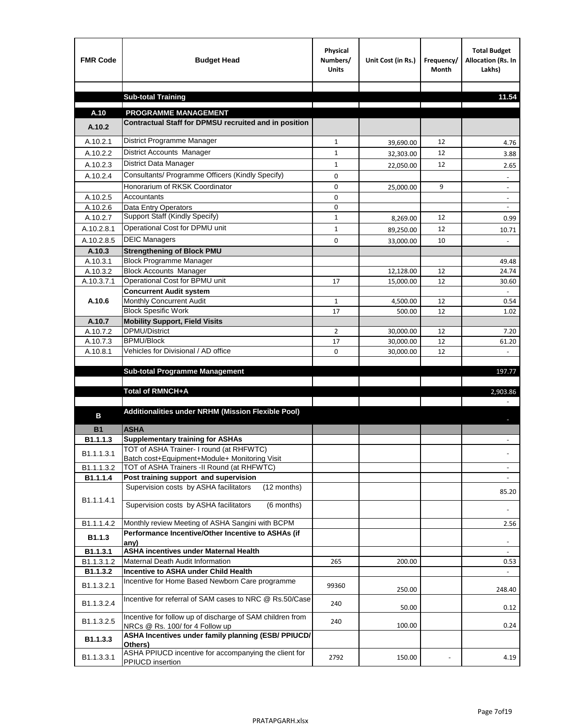| <b>FMR Code</b>        | <b>Budget Head</b>                                                                                     | Physical<br>Numbers/<br><b>Units</b> | Unit Cost (in Rs.) | Frequency/<br><b>Month</b> | <b>Total Budget</b><br>Allocation (Rs. In<br>Lakhs) |
|------------------------|--------------------------------------------------------------------------------------------------------|--------------------------------------|--------------------|----------------------------|-----------------------------------------------------|
|                        |                                                                                                        |                                      |                    |                            |                                                     |
|                        | <b>Sub-total Training</b>                                                                              |                                      |                    |                            | 11.54                                               |
| A.10                   | <b>PROGRAMME MANAGEMENT</b>                                                                            |                                      |                    |                            |                                                     |
| A.10.2                 | Contractual Staff for DPMSU recruited and in position                                                  |                                      |                    |                            |                                                     |
| A.10.2.1               | District Programme Manager                                                                             | $\mathbf{1}$                         | 39,690.00          | 12                         | 4.76                                                |
| A.10.2.2               | District Accounts Manager                                                                              | 1                                    | 32,303.00          | 12                         | 3.88                                                |
| A.10.2.3               | District Data Manager                                                                                  | $\mathbf{1}$                         | 22,050.00          | 12                         | 2.65                                                |
| A.10.2.4               | Consultants/ Programme Officers (Kindly Specify)                                                       | $\mathbf 0$                          |                    |                            |                                                     |
|                        | Honorarium of RKSK Coordinator                                                                         | 0                                    | 25,000.00          | 9                          | $\overline{\phantom{a}}$                            |
| A.10.2.5               | Accountants                                                                                            | 0                                    |                    |                            |                                                     |
| A.10.2.6               | Data Entry Operators                                                                                   | 0                                    |                    |                            | $\overline{\phantom{a}}$                            |
| A.10.2.7               | Support Staff (Kindly Specify)                                                                         | $\mathbf{1}$                         | 8,269.00           | 12                         | 0.99                                                |
| A.10.2.8.1             | Operational Cost for DPMU unit                                                                         | $\mathbf{1}$                         | 89,250.00          | 12                         | 10.71                                               |
| A.10.2.8.5             | <b>DEIC Managers</b>                                                                                   | $\mathbf 0$                          | 33,000.00          | 10                         |                                                     |
| A.10.3                 | <b>Strengthening of Block PMU</b>                                                                      |                                      |                    |                            |                                                     |
| A.10.3.1               | <b>Block Programme Manager</b>                                                                         |                                      |                    |                            | 49.48                                               |
| A.10.3.2               | <b>Block Accounts Manager</b>                                                                          |                                      | 12,128.00          | 12                         | 24.74                                               |
| A.10.3.7.1             | Operational Cost for BPMU unit<br><b>Concurrent Audit system</b>                                       | 17                                   | 15,000.00          | 12                         | 30.60                                               |
| A.10.6                 | Monthly Concurrent Audit                                                                               | $\mathbf{1}$                         | 4,500.00           | 12                         | 0.54                                                |
|                        | <b>Block Spesific Work</b>                                                                             | 17                                   | 500.00             | 12                         | 1.02                                                |
| A.10.7                 | <b>Mobility Support, Field Visits</b>                                                                  |                                      |                    |                            |                                                     |
| A.10.7.2               | <b>DPMU/District</b>                                                                                   | $\overline{2}$                       | 30,000.00          | 12                         | 7.20                                                |
| A.10.7.3               | <b>BPMU/Block</b>                                                                                      | 17                                   | 30,000.00          | 12                         | 61.20                                               |
| A.10.8.1               | Vehicles for Divisional / AD office                                                                    | 0                                    | 30,000.00          | 12                         |                                                     |
|                        | <b>Sub-total Programme Management</b>                                                                  |                                      |                    |                            |                                                     |
|                        |                                                                                                        |                                      |                    |                            | 197.77                                              |
|                        | Total of RMNCH+A                                                                                       |                                      |                    |                            | 2,903.86                                            |
|                        |                                                                                                        |                                      |                    |                            |                                                     |
| в                      | Additionalities under NRHM (Mission Flexible Pool)                                                     |                                      |                    |                            |                                                     |
| <b>B1</b>              | <b>ASHA</b>                                                                                            |                                      |                    |                            |                                                     |
| B1.1.1.3               | <b>Supplementary training for ASHAs</b>                                                                |                                      |                    |                            |                                                     |
|                        | TOT of ASHA Trainer- I round (at RHFWTC)                                                               |                                      |                    |                            |                                                     |
| B <sub>1.1.1.3.1</sub> | Batch cost+Equipment+Module+ Monitoring Visit                                                          |                                      |                    |                            |                                                     |
| B1.1.1.3.2             | TOT of ASHA Trainers -II Round (at RHFWTC)                                                             |                                      |                    |                            |                                                     |
| B1.1.1.4               | Post training support and supervision                                                                  |                                      |                    |                            | $\sim$                                              |
|                        | Supervision costs by ASHA facilitators<br>(12 months)                                                  |                                      |                    |                            | 85.20                                               |
| B1.1.1.4.1             | Supervision costs by ASHA facilitators<br>(6 months)                                                   |                                      |                    |                            |                                                     |
|                        |                                                                                                        |                                      |                    |                            |                                                     |
| B1.1.1.4.2             | Monthly review Meeting of ASHA Sangini with BCPM<br>Performance Incentive/Other Incentive to ASHAs (if |                                      |                    |                            | 2.56                                                |
| B <sub>1.1.3</sub>     | any)                                                                                                   |                                      |                    |                            |                                                     |
| B1.1.3.1               | <b>ASHA incentives under Maternal Health</b>                                                           |                                      |                    |                            |                                                     |
| B1.1.3.1.2             | Maternal Death Audit Information                                                                       | 265                                  | 200.00             |                            | 0.53                                                |
| B1.1.3.2               | Incentive to ASHA under Child Health                                                                   |                                      |                    |                            | ÷.                                                  |
| B1.1.3.2.1             | Incentive for Home Based Newborn Care programme                                                        | 99360                                | 250.00             |                            | 248.40                                              |
| B1.1.3.2.4             | Incentive for referral of SAM cases to NRC @ Rs.50/Case                                                | 240                                  | 50.00              |                            | 0.12                                                |
| B1.1.3.2.5             | Incentive for follow up of discharge of SAM children from<br>NRCs @ Rs. 100/ for 4 Follow up           | 240                                  | 100.00             |                            | 0.24                                                |
| B1.1.3.3               | ASHA Incentives under family planning (ESB/ PPIUCD/<br>Others)                                         |                                      |                    |                            |                                                     |
| B1.1.3.3.1             | ASHA PPIUCD incentive for accompanying the client for<br>PPIUCD insertion                              | 2792                                 | 150.00             |                            | 4.19                                                |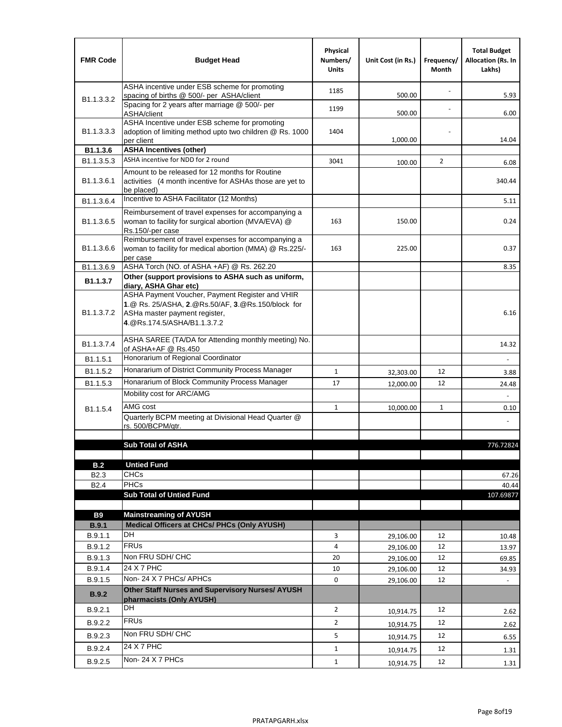| <b>FMR Code</b>            | <b>Budget Head</b>                                                                                                                                                    | Physical<br>Numbers/<br><b>Units</b> | Unit Cost (in Rs.) | Frequency/<br>Month | <b>Total Budget</b><br><b>Allocation (Rs. In</b><br>Lakhs) |
|----------------------------|-----------------------------------------------------------------------------------------------------------------------------------------------------------------------|--------------------------------------|--------------------|---------------------|------------------------------------------------------------|
|                            | ASHA incentive under ESB scheme for promoting<br>spacing of births @ 500/- per ASHA/client                                                                            | 1185                                 | 500.00             |                     | 5.93                                                       |
| B <sub>1.1</sub> , 3, 3, 2 | Spacing for 2 years after marriage @ 500/- per<br>ASHA/client                                                                                                         | 1199                                 | 500.00             |                     | 6.00                                                       |
| B1.1.3.3.3                 | ASHA Incentive under ESB scheme for promoting<br>adoption of limiting method upto two children @ Rs. 1000<br>per client                                               | 1404                                 | 1,000.00           |                     | 14.04                                                      |
| B1.1.3.6                   | <b>ASHA Incentives (other)</b>                                                                                                                                        |                                      |                    |                     |                                                            |
| B <sub>1.1</sub> , 3, 5, 3 | ASHA incentive for NDD for 2 round                                                                                                                                    | 3041                                 | 100.00             | $\overline{2}$      | 6.08                                                       |
| B <sub>1.1</sub> .3.6.1    | Amount to be released for 12 months for Routine<br>activities (4 month incentive for ASHAs those are yet to<br>be placed)                                             |                                      |                    |                     | 340.44                                                     |
| B <sub>1.1</sub> .3.6.4    | Incentive to ASHA Facilitator (12 Months)                                                                                                                             |                                      |                    |                     | 5.11                                                       |
| B <sub>1.1</sub> .3.6.5    | Reimbursement of travel expenses for accompanying a<br>woman to facility for surgical abortion (MVA/EVA) @<br>Rs.150/-per case                                        | 163                                  | 150.00             |                     | 0.24                                                       |
| B <sub>1.1</sub> .3.6.6    | Reimbursement of travel expenses for accompanying a<br>woman to facility for medical abortion (MMA) @ Rs.225/-<br>per case                                            | 163                                  | 225.00             |                     | 0.37                                                       |
| B1.1.3.6.9                 | ASHA Torch (NO. of ASHA +AF) @ Rs. 262.20                                                                                                                             |                                      |                    |                     | 8.35                                                       |
| B1.1.3.7                   | Other (support provisions to ASHA such as uniform,<br>diary, ASHA Ghar etc)                                                                                           |                                      |                    |                     |                                                            |
| B <sub>1.1</sub> .3.7.2    | ASHA Payment Voucher, Payment Register and VHIR<br>1.@ Rs. 25/ASHA, 2.@Rs.50/AF, 3.@Rs.150/block for<br>ASHa master payment register,<br>4. @Rs.174.5/ASHA/B1.1.3.7.2 |                                      |                    |                     | 6.16                                                       |
| B <sub>1.1</sub> , 3, 7, 4 | ASHA SAREE (TA/DA for Attending monthly meeting) No.<br>of ASHA+AF @ Rs.450                                                                                           |                                      |                    |                     | 14.32                                                      |
| B <sub>1.1</sub> .5.1      | Honorarium of Regional Coordinator                                                                                                                                    |                                      |                    |                     |                                                            |
| B1.1.5.2                   | Honararium of District Community Process Manager                                                                                                                      | $\mathbf{1}$                         | 32,303.00          | 12                  | 3.88                                                       |
| B1.1.5.3                   | Honararium of Block Community Process Manager                                                                                                                         | 17                                   | 12,000.00          | 12                  | 24.48                                                      |
|                            | Mobility cost for ARC/AMG                                                                                                                                             |                                      |                    |                     |                                                            |
| B <sub>1.1.5.4</sub>       | AMG cost                                                                                                                                                              | $\mathbf{1}$                         | 10,000.00          | $\mathbf{1}$        | 0.10                                                       |
|                            | Quarterly BCPM meeting at Divisional Head Quarter @<br>rs. 500/BCPM/qtr.                                                                                              |                                      |                    |                     |                                                            |
|                            |                                                                                                                                                                       |                                      |                    |                     |                                                            |
|                            | <b>Sub Total of ASHA</b>                                                                                                                                              |                                      |                    |                     | 776.72824                                                  |
| B.2                        | <b>Untied Fund</b>                                                                                                                                                    |                                      |                    |                     |                                                            |
| B <sub>2.3</sub>           | <b>CHCs</b>                                                                                                                                                           |                                      |                    |                     | 67.26                                                      |
| B <sub>2.4</sub>           | PHCs                                                                                                                                                                  |                                      |                    |                     | 40.44                                                      |
|                            | <b>Sub Total of Untied Fund</b>                                                                                                                                       |                                      |                    |                     | 107.69877                                                  |
| <b>B9</b>                  | <b>Mainstreaming of AYUSH</b>                                                                                                                                         |                                      |                    |                     |                                                            |
| B.9.1                      | Medical Officers at CHCs/ PHCs (Only AYUSH)                                                                                                                           |                                      |                    |                     |                                                            |
| B.9.1.1                    | <b>DH</b>                                                                                                                                                             | 3                                    | 29,106.00          | 12                  | 10.48                                                      |
| B.9.1.2                    | <b>FRUs</b>                                                                                                                                                           | 4                                    | 29,106.00          | 12                  | 13.97                                                      |
| B.9.1.3                    | Non FRU SDH/ CHC                                                                                                                                                      | 20                                   | 29,106.00          | 12                  | 69.85                                                      |
| B.9.1.4                    | 24 X 7 PHC                                                                                                                                                            | 10                                   | 29,106.00          | 12                  | 34.93                                                      |
| B.9.1.5                    | Non-24 X 7 PHCs/ APHCs                                                                                                                                                | 0                                    | 29,106.00          | 12                  |                                                            |
| B.9.2                      | Other Staff Nurses and Supervisory Nurses/ AYUSH<br>pharmacists (Only AYUSH)                                                                                          |                                      |                    |                     |                                                            |
| B.9.2.1                    | DH                                                                                                                                                                    | $\overline{2}$                       | 10,914.75          | 12                  | 2.62                                                       |
| B.9.2.2                    | <b>FRUs</b>                                                                                                                                                           | $\overline{2}$                       | 10,914.75          | 12                  | 2.62                                                       |
| B.9.2.3                    | Non FRU SDH/ CHC                                                                                                                                                      | 5                                    | 10,914.75          | 12                  | 6.55                                                       |
| B.9.2.4                    | 24 X 7 PHC                                                                                                                                                            | $\mathbf{1}$                         | 10,914.75          | 12                  | 1.31                                                       |
| B.9.2.5                    | Non-24 X 7 PHCs                                                                                                                                                       | $\mathbf{1}$                         | 10,914.75          | 12                  | 1.31                                                       |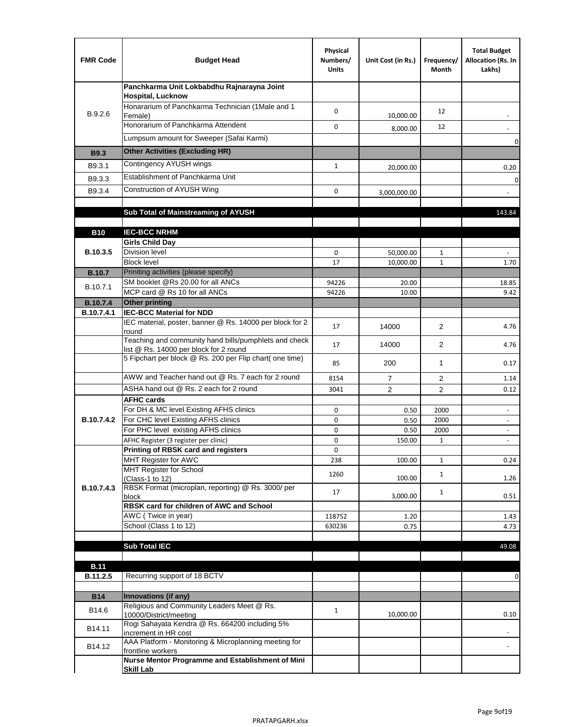| <b>FMR Code</b>   | <b>Budget Head</b>                                                                              | Physical<br>Numbers/<br><b>Units</b> | Unit Cost (in Rs.) | Frequency/<br>Month | <b>Total Budget</b><br>Allocation (Rs. In<br>Lakhs)  |
|-------------------|-------------------------------------------------------------------------------------------------|--------------------------------------|--------------------|---------------------|------------------------------------------------------|
|                   | Panchkarma Unit Lokbabdhu Rajnarayna Joint<br><b>Hospital, Lucknow</b>                          |                                      |                    |                     |                                                      |
| B.9.2.6           | Honararium of Panchkarma Technician (1Male and 1<br>Female)                                     | 0                                    | 10,000.00          | 12                  |                                                      |
|                   | Honorarium of Panchkarma Attendent                                                              | 0                                    | 8,000.00           | 12                  |                                                      |
|                   | Lumpsum amount for Sweeper (Safai Karmi)                                                        |                                      |                    |                     | 0                                                    |
| <b>B9.3</b>       | <b>Other Activities (Excluding HR)</b>                                                          |                                      |                    |                     |                                                      |
| B9.3.1            | Contingency AYUSH wings                                                                         | $\mathbf{1}$                         | 20,000.00          |                     | 0.20                                                 |
| B9.3.3            | Establishment of Panchkarma Unit                                                                |                                      |                    |                     | $\mathbf 0$                                          |
| B9.3.4            | Construction of AYUSH Wing                                                                      | 0                                    | 3,000,000.00       |                     |                                                      |
|                   |                                                                                                 |                                      |                    |                     |                                                      |
|                   | Sub Total of Mainstreaming of AYUSH                                                             |                                      |                    |                     | 143.84                                               |
| <b>B10</b>        | <b>IEC-BCC NRHM</b>                                                                             |                                      |                    |                     |                                                      |
|                   | <b>Girls Child Day</b>                                                                          |                                      |                    |                     |                                                      |
| B.10.3.5          | <b>Division level</b>                                                                           | 0                                    | 50,000.00          | 1                   |                                                      |
|                   | <b>Block level</b>                                                                              | 17                                   | 10,000.00          | $\mathbf{1}$        | 1.70                                                 |
| <b>B.10.7</b>     | Priniting activities (please specify)<br>SM booklet @Rs 20.00 for all ANCs                      |                                      |                    |                     |                                                      |
| B.10.7.1          | MCP card @ Rs 10 for all ANCs                                                                   | 94226<br>94226                       | 20.00<br>10.00     |                     | 18.85<br>9.42                                        |
| <b>B.10.7.4</b>   | <b>Other printing</b>                                                                           |                                      |                    |                     |                                                      |
| B.10.7.4.1        | <b>IEC-BCC Material for NDD</b>                                                                 |                                      |                    |                     |                                                      |
|                   | IEC material, poster, banner @ Rs. 14000 per block for 2<br>round                               | 17                                   | 14000              | $\overline{2}$      | 4.76                                                 |
|                   | Teaching and community hand bills/pumphlets and check<br>list @ Rs. 14000 per block for 2 round | 17                                   | 14000              | $\overline{2}$      | 4.76                                                 |
|                   | 5 Fipchart per block @ Rs. 200 per Flip chart( one time)                                        | 85                                   | 200                | $\mathbf{1}$        | 0.17                                                 |
|                   | AWW and Teacher hand out @ Rs. 7 each for 2 round                                               | 8154                                 | $\overline{7}$     | 2                   | 1.14                                                 |
|                   | ASHA hand out @ Rs. 2 each for 2 round                                                          | 3041                                 | $\overline{2}$     | 2                   | 0.12                                                 |
|                   | <b>AFHC cards</b>                                                                               |                                      |                    |                     |                                                      |
| <b>B.10.7.4.2</b> | For DH & MC level Existing AFHS clinics<br>For CHC level Existing AFHS clinics                  | 0<br>0                               | 0.50<br>0.50       | 2000<br>2000        | $\overline{\phantom{a}}$<br>$\overline{\phantom{a}}$ |
|                   | For PHC level existing AFHS clinics                                                             | 0                                    | 0.50               | 2000                | $\bar{a}$                                            |
|                   | AFHC Register (3 register per clinic)                                                           | 0                                    | 150.00             | $\mathbf{1}$        | $\blacksquare$                                       |
|                   | Printing of RBSK card and registers                                                             | 0                                    |                    |                     |                                                      |
|                   | MHT Register for AWC<br>MHT Register for School                                                 | 238                                  | 100.00             | $\mathbf{1}$        | 0.24                                                 |
|                   | (Class-1 to 12)                                                                                 | 1260                                 | 100.00             | $\mathbf{1}$        | 1.26                                                 |
| B.10.7.4.3        | RBSK Format (microplan, reporting) @ Rs. 3000/ per                                              | 17                                   |                    | $\mathbf{1}$        |                                                      |
|                   | block<br>RBSK card for children of AWC and School                                               |                                      | 3,000.00           |                     | 0.51                                                 |
|                   | AWC (Twice in year)                                                                             | 118752                               | 1.20               |                     | 1.43                                                 |
|                   | School (Class 1 to 12)                                                                          | 630236                               | 0.75               |                     | 4.73                                                 |
|                   | <b>Sub Total IEC</b>                                                                            |                                      |                    |                     |                                                      |
|                   |                                                                                                 |                                      |                    |                     | 49.08                                                |
| <b>B.11</b>       |                                                                                                 |                                      |                    |                     |                                                      |
| B.11.2.5          | Recurring support of 18 BCTV                                                                    |                                      |                    |                     | 0                                                    |
|                   |                                                                                                 |                                      |                    |                     |                                                      |
| <b>B14</b>        | Innovations (if any)<br>Religious and Community Leaders Meet @ Rs.                              |                                      |                    |                     |                                                      |
| B14.6             | 10000/District/meeting                                                                          | $\mathbf{1}$                         | 10,000.00          |                     | 0.10                                                 |
| B14.11            | Rogi Sahayata Kendra @ Rs. 664200 including 5%<br>increment in HR cost                          |                                      |                    |                     |                                                      |
| B14.12            | AAA Platform - Monitoring & Microplanning meeting for<br>frontline workers                      |                                      |                    |                     |                                                      |
|                   | Nurse Mentor Programme and Establishment of Mini                                                |                                      |                    |                     |                                                      |
|                   | <b>Skill Lab</b>                                                                                |                                      |                    |                     |                                                      |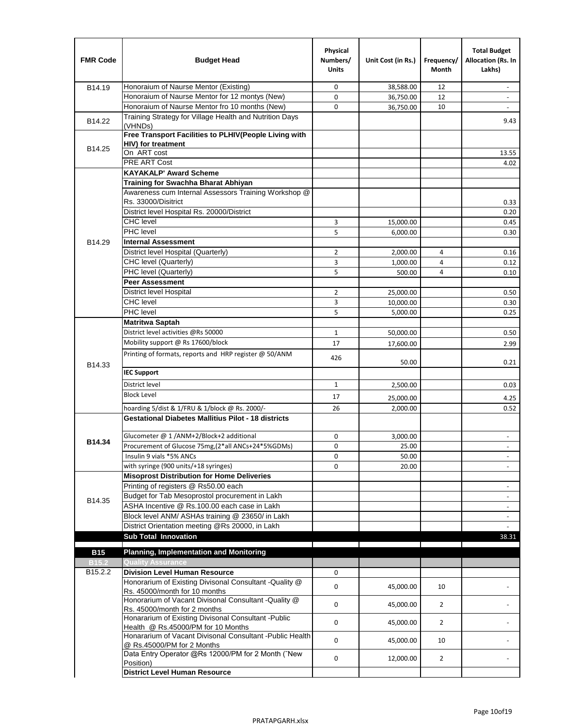| <b>FMR Code</b>     | <b>Budget Head</b>                                                                              | Physical<br>Numbers/<br><b>Units</b> | Unit Cost (in Rs.) | Frequency/<br>Month | <b>Total Budget</b><br>Allocation (Rs. In<br>Lakhs) |
|---------------------|-------------------------------------------------------------------------------------------------|--------------------------------------|--------------------|---------------------|-----------------------------------------------------|
| B14.19              | Honoraium of Naurse Mentor (Existing)                                                           | 0                                    | 38,588.00          | 12                  |                                                     |
|                     | Honoraium of Naurse Mentor for 12 montys (New)                                                  | 0                                    | 36,750.00          | 12                  | $\overline{a}$                                      |
|                     | Honoraium of Naurse Mentor fro 10 months (New)                                                  | 0                                    | 36,750.00          | 10                  | $\overline{\phantom{a}}$                            |
| B14.22              | Training Strategy for Village Health and Nutrition Days<br>(VHNDs)                              |                                      |                    |                     | 9.43                                                |
|                     | Free Transport Facilities to PLHIV(People Living with                                           |                                      |                    |                     |                                                     |
| B14.25              | HIV) for treatment                                                                              |                                      |                    |                     |                                                     |
|                     | On ART cost                                                                                     |                                      |                    |                     | 13.55                                               |
|                     | <b>PRE ART Cost</b>                                                                             |                                      |                    |                     | 4.02                                                |
|                     | <b>KAYAKALP' Award Scheme</b>                                                                   |                                      |                    |                     |                                                     |
|                     | Training for Swachha Bharat Abhiyan                                                             |                                      |                    |                     |                                                     |
|                     | Awareness cum Internal Assessors Training Workshop @                                            |                                      |                    |                     |                                                     |
|                     | Rs. 33000/Disitrict                                                                             |                                      |                    |                     | 0.33                                                |
|                     | District level Hospital Rs. 20000/District                                                      |                                      |                    |                     | 0.20                                                |
|                     | <b>CHC</b> level                                                                                | 3                                    | 15,000.00          |                     | 0.45                                                |
|                     | PHC level                                                                                       | 5                                    | 6,000.00           |                     | 0.30                                                |
| B14.29              | <b>Internal Assessment</b>                                                                      |                                      |                    |                     |                                                     |
|                     | District level Hospital (Quarterly)                                                             | $\overline{2}$                       | 2,000.00           | 4                   | 0.16                                                |
|                     | CHC level (Quarterly)                                                                           | 3                                    | 1,000.00           | 4                   | 0.12                                                |
|                     | PHC level (Quarterly)                                                                           | 5                                    | 500.00             | 4                   | 0.10                                                |
|                     | <b>Peer Assessment</b>                                                                          |                                      |                    |                     |                                                     |
|                     | <b>District level Hospital</b>                                                                  | 2                                    | 25,000.00          |                     | 0.50                                                |
|                     | <b>CHC</b> level                                                                                | 3                                    | 10,000.00          |                     | 0.30                                                |
|                     | PHC level                                                                                       | 5                                    | 5,000.00           |                     | 0.25                                                |
|                     | <b>Matritwa Saptah</b>                                                                          |                                      |                    |                     |                                                     |
|                     | District level activities @Rs 50000                                                             | $\mathbf{1}$                         | 50,000.00          |                     | 0.50                                                |
|                     | Mobility support @ Rs 17600/block                                                               | 17                                   | 17,600.00          |                     | 2.99                                                |
| B14.33              | Printing of formats, reports and HRP register @ 50/ANM                                          | 426                                  | 50.00              |                     | 0.21                                                |
|                     | <b>IEC Support</b>                                                                              |                                      |                    |                     |                                                     |
|                     | District level                                                                                  | 1                                    | 2,500.00           |                     | 0.03                                                |
|                     | <b>Block Level</b>                                                                              | 17                                   | 25,000.00          |                     | 4.25                                                |
|                     | hoarding 5/dist & 1/FRU & 1/block @ Rs. 2000/-                                                  | 26                                   | 2,000.00           |                     | 0.52                                                |
|                     | <b>Gestational Diabetes Mallitius Pilot - 18 districts</b>                                      |                                      |                    |                     |                                                     |
|                     |                                                                                                 |                                      |                    |                     |                                                     |
| B14.34              | Glucometer @ 1 /ANM+2/Block+2 additional<br>Procurement of Glucose 75mg, (2*all ANCs+24*5%GDMs) | 0                                    | 3,000.00           |                     |                                                     |
|                     |                                                                                                 | 0                                    | 25.00              |                     |                                                     |
|                     | Insulin 9 vials *5% ANCs                                                                        | 0                                    | 50.00              |                     | $\blacksquare$                                      |
|                     | with syringe (900 units/+18 syringes)<br><b>Misoprost Distribution for Home Deliveries</b>      | 0                                    | 20.00              |                     |                                                     |
|                     | Printing of registers @ Rs50.00 each                                                            |                                      |                    |                     |                                                     |
|                     | Budget for Tab Mesoprostol procurement in Lakh                                                  |                                      |                    |                     | $\overline{\phantom{a}}$<br>$\blacksquare$          |
| B14.35              | ASHA Incentive @ Rs.100.00 each case in Lakh                                                    |                                      |                    |                     |                                                     |
|                     | Block level ANM/ ASHAs training @ 23650/ in Lakh                                                |                                      |                    |                     | $\overline{\phantom{a}}$                            |
|                     | District Orientation meeting @Rs 20000, in Lakh                                                 |                                      |                    |                     | $\omega$                                            |
|                     | <b>Sub Total Innovation</b>                                                                     |                                      |                    |                     | 38.31                                               |
| <b>B15</b>          | <b>Planning, Implementation and Monitoring</b>                                                  |                                      |                    |                     |                                                     |
| <b>B15.2</b>        | <b>Quality Assurance</b>                                                                        |                                      |                    |                     |                                                     |
| B <sub>15.2.2</sub> | <b>Division Level Human Resource</b>                                                            | 0                                    |                    |                     |                                                     |
|                     | Honorarium of Existing Divisonal Consultant - Quality @                                         |                                      |                    |                     |                                                     |
|                     | Rs. 45000/month for 10 months                                                                   | 0                                    | 45,000.00          | 10                  |                                                     |
|                     | Honorarium of Vacant Divisonal Consultant - Quality @                                           | 0                                    | 45,000.00          | $\overline{2}$      |                                                     |
|                     | Rs. 45000/month for 2 months<br>Honararium of Existing Divisonal Consultant - Public            | 0                                    | 45,000.00          | $\overline{2}$      |                                                     |
|                     | Health @ Rs.45000/PM for 10 Months<br>Honararium of Vacant Divisonal Consultant - Public Health |                                      |                    |                     |                                                     |
|                     | @ Rs.45000/PM for 2 Months<br>Data Entry Operator @Rs 12000/PM for 2 Month ("New                | 0                                    | 45,000.00          | 10                  |                                                     |
|                     | Position)                                                                                       | 0                                    | 12,000.00          | $\overline{2}$      |                                                     |
|                     | <b>District Level Human Resource</b>                                                            |                                      |                    |                     |                                                     |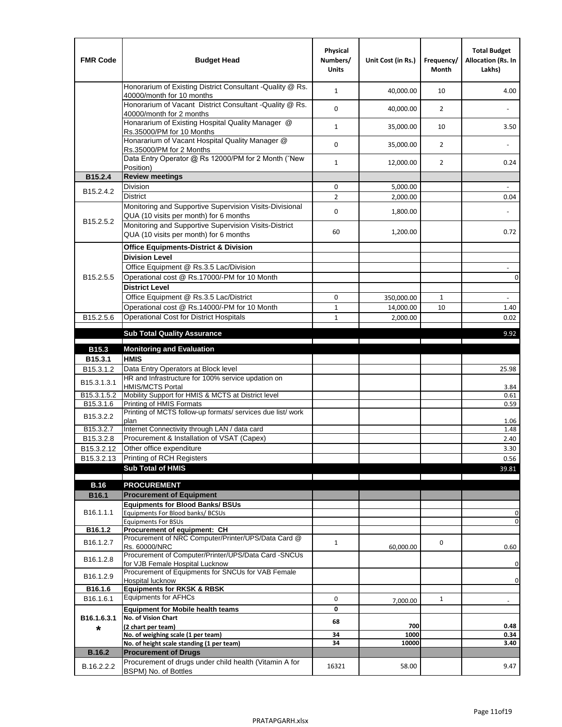| <b>FMR Code</b>         | <b>Budget Head</b>                                                                                | Physical<br>Numbers/<br><b>Units</b> | Unit Cost (in Rs.) | Frequency/<br><b>Month</b> | <b>Total Budget</b><br>Allocation (Rs. In<br>Lakhs) |
|-------------------------|---------------------------------------------------------------------------------------------------|--------------------------------------|--------------------|----------------------------|-----------------------------------------------------|
|                         | Honorarium of Existing District Consultant -Quality @ Rs.<br>40000/month for 10 months            | $\mathbf{1}$                         | 40,000.00          | 10                         | 4.00                                                |
|                         | Honorarium of Vacant District Consultant -Quality @ Rs.<br>40000/month for 2 months               | $\mathbf 0$                          | 40,000.00          | $\overline{2}$             |                                                     |
|                         | Honararium of Existing Hospital Quality Manager @<br>Rs.35000/PM for 10 Months                    | $\mathbf{1}$                         | 35,000.00          | 10                         | 3.50                                                |
|                         | Honararium of Vacant Hospital Quality Manager @<br>Rs.35000/PM for 2 Months                       | $\mathbf 0$                          | 35,000.00          | $\overline{2}$             |                                                     |
|                         | Data Entry Operator @ Rs 12000/PM for 2 Month ("New<br>Position)                                  | $\mathbf{1}$                         | 12,000.00          | $\overline{2}$             | 0.24                                                |
| B15.2.4                 | <b>Review meetings</b>                                                                            |                                      |                    |                            |                                                     |
| B <sub>15.2</sub> .4.2  | Division                                                                                          | 0                                    | 5,000.00           |                            |                                                     |
|                         | <b>District</b>                                                                                   | $\overline{2}$                       | 2,000.00           |                            | 0.04                                                |
| B15.2.5.2               | Monitoring and Supportive Supervision Visits-Divisional<br>QUA (10 visits per month) for 6 months | $\mathbf 0$                          | 1,800.00           |                            |                                                     |
|                         | Monitoring and Supportive Supervision Visits-District<br>QUA (10 visits per month) for 6 months   | 60                                   | 1,200.00           |                            | 0.72                                                |
|                         | <b>Office Equipments-District &amp; Division</b>                                                  |                                      |                    |                            |                                                     |
|                         | <b>Division Level</b>                                                                             |                                      |                    |                            |                                                     |
|                         | Office Equipment @ Rs.3.5 Lac/Division                                                            |                                      |                    |                            | $\overline{\phantom{a}}$                            |
| B15.2.5.5               | Operational cost @ Rs.17000/-PM for 10 Month                                                      |                                      |                    |                            | $\pmb{0}$                                           |
|                         | <b>District Level</b>                                                                             |                                      |                    |                            |                                                     |
|                         | Office Equipment @ Rs.3.5 Lac/District                                                            | 0                                    | 350,000.00         | $\mathbf{1}$               | $\blacksquare$                                      |
|                         | Operational cost @ Rs.14000/-PM for 10 Month                                                      | $1\,$                                | 14,000.00          | 10                         | 1.40                                                |
| B15.2.5.6               | <b>Operational Cost for District Hospitals</b>                                                    | $\mathbf{1}$                         | 2,000.00           |                            | 0.02                                                |
|                         | <b>Sub Total Quality Assurance</b>                                                                |                                      |                    |                            | 9.92                                                |
| B15.3                   | <b>Monitoring and Evaluation</b>                                                                  |                                      |                    |                            |                                                     |
| B15.3.1                 | <b>HMIS</b>                                                                                       |                                      |                    |                            |                                                     |
| B15.3.1.2               | Data Entry Operators at Block level                                                               |                                      |                    |                            | 25.98                                               |
| B15.3.1.3.1             | HR and Infrastructure for 100% service updation on<br><b>HMIS/MCTS Portal</b>                     |                                      |                    |                            | 3.84                                                |
| B <sub>15.3.1.5.2</sub> | Mobility Support for HMIS & MCTS at District level                                                |                                      |                    |                            | 0.61                                                |
| B15.3.1.6               | Printing of HMIS Formats<br>Printing of MCTS follow-up formats/ services due list/ work           |                                      |                    |                            | 0.59                                                |
| B15.3.2.2               | plan                                                                                              |                                      |                    |                            | 1.06                                                |
| B15.3.2.7               | Internet Connectivity through LAN / data card                                                     |                                      |                    |                            | 1.48                                                |
| B15.3.2.8               | Procurement & Installation of VSAT (Capex)                                                        |                                      |                    |                            | 2.40                                                |
| B15.3.2.12              | Other office expenditure                                                                          |                                      |                    |                            | 3.30                                                |
| B15.3.2.13              | Printing of RCH Registers                                                                         |                                      |                    |                            | 0.56                                                |
|                         | <b>Sub Total of HMIS</b>                                                                          |                                      |                    |                            | 39.81                                               |
| <b>B.16</b>             | <b>PROCUREMENT</b>                                                                                |                                      |                    |                            |                                                     |
| B16.1                   | <b>Procurement of Equipment</b>                                                                   |                                      |                    |                            |                                                     |
|                         | <b>Equipments for Blood Banks/ BSUs</b>                                                           |                                      |                    |                            |                                                     |
| B16.1.1.1               | Equipments For Blood banks/ BCSUs                                                                 |                                      |                    |                            | 0                                                   |
| B16.1.2                 | <b>Equipments For BSUs</b><br>Procurement of equipment: CH                                        |                                      |                    |                            | 0                                                   |
|                         | Procurement of NRC Computer/Printer/UPS/Data Card @                                               |                                      |                    |                            |                                                     |
| B16.1.2.7               | Rs. 60000/NRC                                                                                     | $\mathbf{1}$                         | 60,000.00          | 0                          | 0.60                                                |
| B16.1.2.8               | Procurement of Computer/Printer/UPS/Data Card -SNCUs                                              |                                      |                    |                            |                                                     |
|                         | for VJB Female Hospital Lucknow<br>Procurement of Equipments for SNCUs for VAB Female             |                                      |                    |                            | 0                                                   |
| B16.1.2.9               | Hospital lucknow                                                                                  |                                      |                    |                            | 0                                                   |
| B16.1.6                 | <b>Equipments for RKSK &amp; RBSK</b>                                                             |                                      |                    |                            |                                                     |
| B16.1.6.1               | <b>Equipments for AFHCs</b>                                                                       | 0                                    | 7,000.00           | $\mathbf{1}$               | ÷,                                                  |
|                         | <b>Equipment for Mobile health teams</b>                                                          | 0                                    |                    |                            |                                                     |
| B16.1.6.3.1             | No. of Vision Chart                                                                               | 68                                   | 700                |                            | 0.48                                                |
| *                       | (2 chart per team)<br>No. of weighing scale (1 per team)                                          | 34                                   | 1000               |                            | 0.34                                                |
|                         | No. of height scale standing (1 per team)                                                         | 34                                   | 10000              |                            | 3.40                                                |
| <b>B.16.2</b>           | <b>Procurement of Drugs</b>                                                                       |                                      |                    |                            |                                                     |
| B.16.2.2.2              | Procurement of drugs under child health (Vitamin A for                                            | 16321                                | 58.00              |                            | 9.47                                                |
|                         | BSPM) No. of Bottles                                                                              |                                      |                    |                            |                                                     |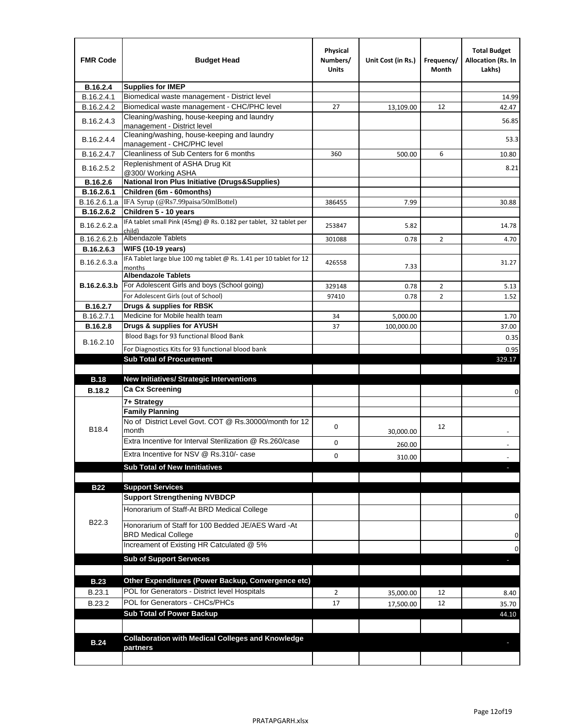| <b>FMR Code</b> | <b>Budget Head</b>                                                            | Physical<br>Numbers/<br><b>Units</b> | Unit Cost (in Rs.) | Frequency/<br>Month | <b>Total Budget</b><br>Allocation (Rs. In<br>Lakhs) |
|-----------------|-------------------------------------------------------------------------------|--------------------------------------|--------------------|---------------------|-----------------------------------------------------|
| B.16.2.4        | <b>Supplies for IMEP</b>                                                      |                                      |                    |                     |                                                     |
| B.16.2.4.1      | Biomedical waste management - District level                                  |                                      |                    |                     | 14.99                                               |
| B.16.2.4.2      | Biomedical waste management - CHC/PHC level                                   | 27                                   | 13,109.00          | 12                  | 42.47                                               |
| B.16.2.4.3      | Cleaning/washing, house-keeping and laundry<br>management - District level    |                                      |                    |                     | 56.85                                               |
| B.16.2.4.4      | Cleaning/washing, house-keeping and laundry<br>management - CHC/PHC level     |                                      |                    |                     | 53.3                                                |
| B.16.2.4.7      | Cleanliness of Sub Centers for 6 months                                       | 360                                  | 500.00             | 6                   | 10.80                                               |
| B.16.2.5.2      | Replenishment of ASHA Drug Kit<br>@300/ Working ASHA                          |                                      |                    |                     | 8.21                                                |
| B.16.2.6        | <b>National Iron Plus Initiative (Drugs&amp;Supplies)</b>                     |                                      |                    |                     |                                                     |
| B.16.2.6.1      | Children (6m - 60months)                                                      |                                      |                    |                     |                                                     |
| B.16.2.6.1.a    | IFA Syrup (@Rs7.99paisa/50mlBottel)                                           | 386455                               | 7.99               |                     | 30.88                                               |
| B.16.2.6.2      | Children 5 - 10 years                                                         |                                      |                    |                     |                                                     |
| B.16.2.6.2.a    | IFA tablet small Pink (45mg) @ Rs. 0.182 per tablet, 32 tablet per<br>child)  | 253847                               | 5.82               |                     | 14.78                                               |
| B.16.2.6.2.b    | <b>Albendazole Tablets</b>                                                    | 301088                               | 0.78               | 2                   | 4.70                                                |
| B.16.2.6.3      | <b>WIFS (10-19 years)</b>                                                     |                                      |                    |                     |                                                     |
| B.16.2.6.3.a    | IFA Tablet large blue 100 mg tablet @ Rs. 1.41 per 10 tablet for 12<br>months | 426558                               | 7.33               |                     | 31.27                                               |
|                 | <b>Albendazole Tablets</b>                                                    |                                      |                    |                     |                                                     |
| B.16.2.6.3.b    | For Adolescent Girls and boys (School going)                                  | 329148                               | 0.78               | $\overline{2}$      | 5.13                                                |
|                 | For Adolescent Girls (out of School)                                          | 97410                                | 0.78               | $\overline{2}$      | 1.52                                                |
| B.16.2.7        | Drugs & supplies for RBSK                                                     |                                      |                    |                     |                                                     |
| B.16.2.7.1      | Medicine for Mobile health team                                               | 34                                   | 5,000.00           |                     | 1.70                                                |
| <b>B.16.2.8</b> | Drugs & supplies for AYUSH<br>Blood Bags for 93 functional Blood Bank         | 37                                   | 100,000.00         |                     | 37.00                                               |
| B.16.2.10       |                                                                               |                                      |                    |                     | 0.35                                                |
|                 | For Diagnostics Kits for 93 functional blood bank                             |                                      |                    |                     | 0.95                                                |
|                 | <b>Sub Total of Procurement</b>                                               |                                      |                    |                     | 329.17                                              |
| <b>B.18</b>     | <b>New Initiatives/ Strategic Interventions</b>                               |                                      |                    |                     |                                                     |
| <b>B.18.2</b>   | <b>Ca Cx Screening</b>                                                        |                                      |                    |                     |                                                     |
|                 |                                                                               |                                      |                    |                     | 0                                                   |
|                 | 7+ Strategy<br><b>Family Planning</b>                                         |                                      |                    |                     |                                                     |
| B18.4           | No of District Level Govt. COT @ Rs.30000/month for 12<br>month               | 0                                    |                    | 12                  |                                                     |
|                 | Extra Incentive for Interval Sterilization @ Rs.260/case                      |                                      | 30,000.00          |                     |                                                     |
|                 |                                                                               | 0                                    | 260.00             |                     |                                                     |
|                 | Extra Incentive for NSV @ Rs.310/- case                                       | 0                                    | 310.00             |                     |                                                     |
|                 | <b>Sub Total of New Innitiatives</b>                                          |                                      |                    |                     |                                                     |
|                 |                                                                               |                                      |                    |                     |                                                     |
| <b>B22</b>      | <b>Support Services</b><br><b>Support Strengthening NVBDCP</b>                |                                      |                    |                     |                                                     |
|                 | Honorarium of Staff-At BRD Medical College                                    |                                      |                    |                     |                                                     |
| B22.3           | Honorarium of Staff for 100 Bedded JE/AES Ward -At                            |                                      |                    |                     | 0                                                   |
|                 | <b>BRD Medical College</b><br>Increament of Existing HR Catculated @ 5%       |                                      |                    |                     | 0                                                   |
|                 | <b>Sub of Support Serveces</b>                                                |                                      |                    |                     | 0                                                   |
|                 |                                                                               |                                      |                    |                     |                                                     |
| <b>B.23</b>     | Other Expenditures (Power Backup, Convergence etc)                            |                                      |                    |                     |                                                     |
|                 | POL for Generators - District level Hospitals                                 |                                      |                    |                     |                                                     |
| B.23.1          | POL for Generators - CHCs/PHCs                                                | $\overline{2}$                       | 35,000.00          | 12                  | 8.40                                                |
| B.23.2          | <b>Sub Total of Power Backup</b>                                              | 17                                   | 17,500.00          | 12                  | 35.70                                               |
|                 |                                                                               |                                      |                    |                     | 44.10                                               |
|                 | <b>Collaboration with Medical Colleges and Knowledge</b>                      |                                      |                    |                     |                                                     |
| <b>B.24</b>     | partners                                                                      |                                      |                    |                     |                                                     |
|                 |                                                                               |                                      |                    |                     |                                                     |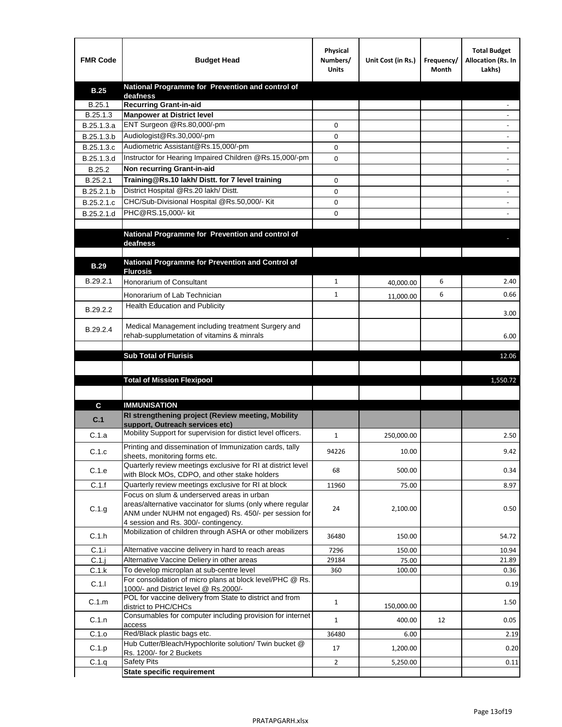| <b>FMR Code</b> | <b>Budget Head</b>                                                                                   | Physical<br>Numbers/<br><b>Units</b> | Unit Cost (in Rs.) | Frequency/<br>Month | <b>Total Budget</b><br>Allocation (Rs. In<br>Lakhs) |
|-----------------|------------------------------------------------------------------------------------------------------|--------------------------------------|--------------------|---------------------|-----------------------------------------------------|
| <b>B.25</b>     | National Programme for Prevention and control of                                                     |                                      |                    |                     |                                                     |
| B.25.1          | deafness<br><b>Recurring Grant-in-aid</b>                                                            |                                      |                    |                     |                                                     |
| B.25.1.3        | <b>Manpower at District level</b>                                                                    |                                      |                    |                     |                                                     |
| B.25.1.3.a      | ENT Surgeon @Rs.80,000/-pm                                                                           | 0                                    |                    |                     |                                                     |
| B.25.1.3.b      | Audiologist@Rs.30,000/-pm                                                                            | 0                                    |                    |                     |                                                     |
| B.25.1.3.c      | Audiometric Assistant@Rs.15,000/-pm                                                                  | 0                                    |                    |                     |                                                     |
| B.25.1.3.d      | Instructor for Hearing Impaired Children @Rs.15,000/-pm                                              | 0                                    |                    |                     |                                                     |
| B.25.2          | Non recurring Grant-in-aid                                                                           |                                      |                    |                     |                                                     |
| B.25.2.1        | Training@Rs.10 lakh/ Distt. for 7 level training                                                     | 0                                    |                    |                     |                                                     |
| B.25.2.1.b      | District Hospital @Rs.20 lakh/Distt.                                                                 | 0                                    |                    |                     |                                                     |
| B.25.2.1.c      | CHC/Sub-Divisional Hospital @Rs.50,000/- Kit                                                         | 0                                    |                    |                     |                                                     |
| B.25.2.1.d      | PHC@RS.15,000/- kit                                                                                  | 0                                    |                    |                     |                                                     |
|                 |                                                                                                      |                                      |                    |                     |                                                     |
|                 | National Programme for Prevention and control of                                                     |                                      |                    |                     |                                                     |
|                 | deafness                                                                                             |                                      |                    |                     |                                                     |
|                 | National Programme for Prevention and Control of                                                     |                                      |                    |                     |                                                     |
| <b>B.29</b>     | <b>Flurosis</b>                                                                                      |                                      |                    |                     |                                                     |
| B.29.2.1        | Honorarium of Consultant                                                                             | $\mathbf{1}$                         | 40,000.00          | 6                   | 2.40                                                |
|                 | Honorarium of Lab Technician                                                                         | $\mathbf{1}$                         | 11,000.00          | 6                   | 0.66                                                |
| B.29.2.2        | <b>Health Education and Publicity</b>                                                                |                                      |                    |                     |                                                     |
|                 |                                                                                                      |                                      |                    |                     | 3.00                                                |
| B.29.2.4        | Medical Management including treatment Surgery and                                                   |                                      |                    |                     |                                                     |
|                 | rehab-supplumetation of vitamins & minrals                                                           |                                      |                    |                     | 6.00                                                |
|                 | <b>Sub Total of Flurisis</b>                                                                         |                                      |                    |                     | 12.06                                               |
|                 |                                                                                                      |                                      |                    |                     |                                                     |
|                 | <b>Total of Mission Flexipool</b>                                                                    |                                      |                    |                     | 1,550.72                                            |
|                 |                                                                                                      |                                      |                    |                     |                                                     |
|                 |                                                                                                      |                                      |                    |                     |                                                     |
| С               | <b>IMMUNISATION</b><br>RI strengthening project (Review meeting, Mobility                            |                                      |                    |                     |                                                     |
| C.1             | support, Outreach services etc)                                                                      |                                      |                    |                     |                                                     |
| C.1.a           | Mobility Support for supervision for distict level officers.                                         | $\mathbf{1}$                         | 250,000.00         |                     | 2.50                                                |
|                 | Printing and dissemination of Immunization cards, tally                                              |                                      |                    |                     |                                                     |
| C.1.c           | sheets, monitoring forms etc.                                                                        | 94226                                | 10.00              |                     | 9.42                                                |
| C.1.e           | Quarterly review meetings exclusive for RI at district level                                         | 68                                   | 500.00             |                     | 0.34                                                |
| C.1.f           | with Block MOs, CDPO, and other stake holders<br>Quarterly review meetings exclusive for RI at block |                                      |                    |                     |                                                     |
|                 | Focus on slum & underserved areas in urban                                                           | 11960                                | 75.00              |                     | 8.97                                                |
|                 | areas/alternative vaccinator for slums (only where regular                                           |                                      |                    |                     |                                                     |
| C.1.g           | ANM under NUHM not engaged) Rs. 450/- per session for                                                | 24                                   | 2,100.00           |                     | 0.50                                                |
|                 | 4 session and Rs. 300/- contingency.                                                                 |                                      |                    |                     |                                                     |
| C.1.h           | Mobilization of children through ASHA or other mobilizers                                            | 36480                                | 150.00             |                     | 54.72                                               |
| C.1.i           | Alternative vaccine delivery in hard to reach areas                                                  | 7296                                 | 150.00             |                     | 10.94                                               |
| $C.1$ .j        | Alternative Vaccine Deliery in other areas                                                           | 29184                                | 75.00              |                     | 21.89                                               |
| C.1.k           | To develop microplan at sub-centre level                                                             | 360                                  | 100.00             |                     | 0.36                                                |
| C.1.1           | For consolidation of micro plans at block level/PHC @ Rs.                                            |                                      |                    |                     | 0.19                                                |
|                 | 1000/- and District level @ Rs.2000/-<br>POL for vaccine delivery from State to district and from    |                                      |                    |                     |                                                     |
| C.1.m           | district to PHC/CHCs                                                                                 | $\mathbf{1}$                         | 150,000.00         |                     | 1.50                                                |
| C.1.n           | Consumables for computer including provision for internet                                            | $\mathbf{1}$                         | 400.00             | 12                  | 0.05                                                |
|                 | access                                                                                               |                                      |                    |                     |                                                     |
| C.1.o           | Red/Black plastic bags etc.<br>Hub Cutter/Bleach/Hypochlorite solution/ Twin bucket @                | 36480                                | 6.00               |                     | 2.19                                                |
| C.1.p           | Rs. 1200/- for 2 Buckets                                                                             | 17                                   | 1,200.00           |                     | 0.20                                                |
| C.1.q           | <b>Safety Pits</b>                                                                                   | 2                                    | 5,250.00           |                     | 0.11                                                |
|                 | <b>State specific requirement</b>                                                                    |                                      |                    |                     |                                                     |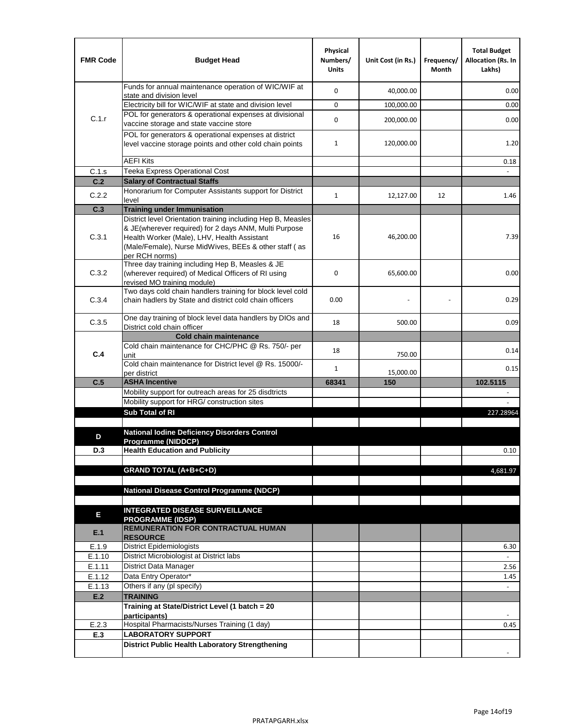| <b>FMR Code</b> | <b>Budget Head</b>                                                                                                                                                              | Physical<br>Numbers/<br><b>Units</b> | Unit Cost (in Rs.) | Frequency/<br>Month | <b>Total Budget</b><br>Allocation (Rs. In<br>Lakhs) |
|-----------------|---------------------------------------------------------------------------------------------------------------------------------------------------------------------------------|--------------------------------------|--------------------|---------------------|-----------------------------------------------------|
|                 | Funds for annual maintenance operation of WIC/WIF at<br>state and division level                                                                                                | 0                                    | 40,000.00          |                     | 0.00                                                |
|                 | Electricity bill for WIC/WIF at state and division level                                                                                                                        | 0                                    | 100,000.00         |                     | 0.00                                                |
| C.1.r           | POL for generators & operational expenses at divisional                                                                                                                         |                                      |                    |                     |                                                     |
|                 | vaccine storage and state vaccine store                                                                                                                                         | 0                                    | 200,000.00         |                     | 0.00                                                |
|                 | POL for generators & operational expenses at district<br>level vaccine storage points and other cold chain points                                                               | $\mathbf{1}$                         | 120,000.00         |                     | 1.20                                                |
|                 | <b>AEFI Kits</b>                                                                                                                                                                |                                      |                    |                     | 0.18                                                |
| C.1.s           | Teeka Express Operational Cost                                                                                                                                                  |                                      |                    |                     |                                                     |
| C.2             | <b>Salary of Contractual Staffs</b>                                                                                                                                             |                                      |                    |                     |                                                     |
| C.2.2           | Honorarium for Computer Assistants support for District                                                                                                                         | $\mathbf{1}$                         | 12,127.00          | 12                  | 1.46                                                |
| C.3             | level<br><b>Training under Immunisation</b>                                                                                                                                     |                                      |                    |                     |                                                     |
|                 | District level Orientation training including Hep B, Measles                                                                                                                    |                                      |                    |                     |                                                     |
| C.3.1           | & JE(wherever required) for 2 days ANM, Multi Purpose<br>Health Worker (Male), LHV, Health Assistant<br>(Male/Female), Nurse MidWives, BEEs & other staff (as<br>per RCH norms) | 16                                   | 46,200.00          |                     | 7.39                                                |
| C.3.2           | Three day training including Hep B, Measles & JE<br>(wherever required) of Medical Officers of RI using<br>revised MO training module)                                          | 0                                    | 65,600.00          |                     | 0.00                                                |
| C.3.4           | Two days cold chain handlers training for block level cold<br>chain hadlers by State and district cold chain officers                                                           | 0.00                                 |                    |                     | 0.29                                                |
| C.3.5           | One day training of block level data handlers by DIOs and<br>District cold chain officer                                                                                        | 18                                   | 500.00             |                     | 0.09                                                |
|                 | <b>Cold chain maintenance</b>                                                                                                                                                   |                                      |                    |                     |                                                     |
|                 | Cold chain maintenance for CHC/PHC @ Rs. 750/- per                                                                                                                              | 18                                   |                    |                     | 0.14                                                |
| C.4             | unit                                                                                                                                                                            |                                      | 750.00             |                     |                                                     |
|                 | Cold chain maintenance for District level @ Rs. 15000/-<br>per district                                                                                                         | $\mathbf{1}$                         | 15,000.00          |                     | 0.15                                                |
| C.5             | <b>ASHA Incentive</b>                                                                                                                                                           | 68341                                | 150                |                     | 102.5115                                            |
|                 | Mobility support for outreach areas for 25 disdtricts                                                                                                                           |                                      |                    |                     |                                                     |
|                 | Mobility support for HRG/ construction sites                                                                                                                                    |                                      |                    |                     |                                                     |
|                 | Sub Total of RI                                                                                                                                                                 |                                      |                    |                     | 227.28964                                           |
|                 |                                                                                                                                                                                 |                                      |                    |                     |                                                     |
| D               | <b>National lodine Deficiency Disorders Control</b><br>Programme (NIDDCP)                                                                                                       |                                      |                    |                     |                                                     |
| D.3             | <b>Health Education and Publicity</b>                                                                                                                                           |                                      |                    |                     | 0.10                                                |
|                 |                                                                                                                                                                                 |                                      |                    |                     |                                                     |
|                 | <b>GRAND TOTAL (A+B+C+D)</b>                                                                                                                                                    |                                      |                    |                     | 4,681.97                                            |
|                 |                                                                                                                                                                                 |                                      |                    |                     |                                                     |
|                 | National Disease Control Programme (NDCP)                                                                                                                                       |                                      |                    |                     |                                                     |
|                 | <b>INTEGRATED DISEASE SURVEILLANCE</b>                                                                                                                                          |                                      |                    |                     |                                                     |
| Е               | <b>PROGRAMME (IDSP)</b>                                                                                                                                                         |                                      |                    |                     |                                                     |
| E.1             | <b>REMUNERATION FOR CONTRACTUAL HUMAN</b><br><b>RESOURCE</b>                                                                                                                    |                                      |                    |                     |                                                     |
| E.1.9           | District Epidemiologists                                                                                                                                                        |                                      |                    |                     | 6.30                                                |
| E.1.10          | District Microbiologist at District labs                                                                                                                                        |                                      |                    |                     |                                                     |
| E.1.11          | District Data Manager                                                                                                                                                           |                                      |                    |                     | 2.56                                                |
| E.1.12          | Data Entry Operator*                                                                                                                                                            |                                      |                    |                     | 1.45                                                |
| E.1.13<br>E.2   | Others if any (pl specify)<br><b>TRAINING</b>                                                                                                                                   |                                      |                    |                     | $\omega$                                            |
|                 | Training at State/District Level (1 batch = 20                                                                                                                                  |                                      |                    |                     |                                                     |
|                 | participants)                                                                                                                                                                   |                                      |                    |                     |                                                     |
| E.2.3           | Hospital Pharmacists/Nurses Training (1 day)                                                                                                                                    |                                      |                    |                     | 0.45                                                |
| E.3             | <b>LABORATORY SUPPORT</b>                                                                                                                                                       |                                      |                    |                     |                                                     |
|                 | <b>District Public Health Laboratory Strengthening</b>                                                                                                                          |                                      |                    |                     |                                                     |
|                 |                                                                                                                                                                                 |                                      |                    |                     |                                                     |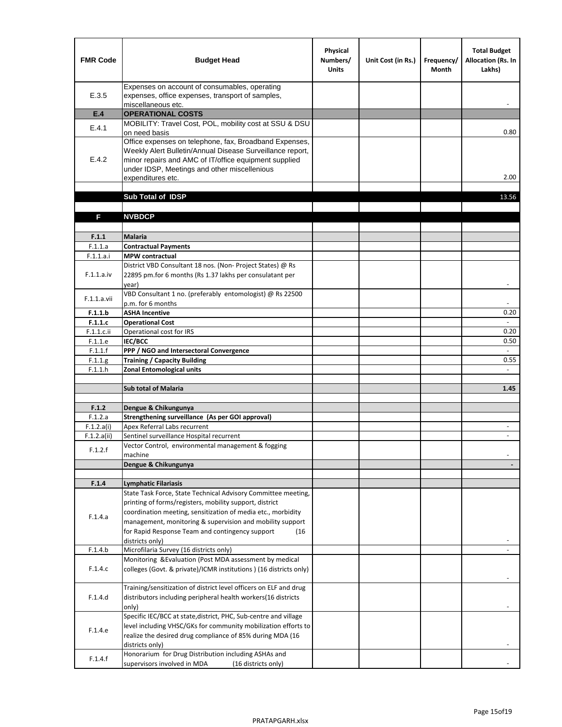| <b>FMR Code</b>           | <b>Budget Head</b>                                                                                                                                                                                                                                | Physical<br>Numbers/<br><b>Units</b> | Unit Cost (in Rs.) | Frequency/<br><b>Month</b> | <b>Total Budget</b><br>Allocation (Rs. In<br>Lakhs) |
|---------------------------|---------------------------------------------------------------------------------------------------------------------------------------------------------------------------------------------------------------------------------------------------|--------------------------------------|--------------------|----------------------------|-----------------------------------------------------|
| E.3.5                     | Expenses on account of consumables, operating<br>expenses, office expenses, transport of samples,<br>miscellaneous etc.                                                                                                                           |                                      |                    |                            |                                                     |
| E.4                       | <b>OPERATIONAL COSTS</b>                                                                                                                                                                                                                          |                                      |                    |                            |                                                     |
| E.4.1                     | MOBILITY: Travel Cost, POL, mobility cost at SSU & DSU<br>on need basis                                                                                                                                                                           |                                      |                    |                            | 0.80                                                |
| E.4.2                     | Office expenses on telephone, fax, Broadband Expenses,<br>Weekly Alert Bulletin/Annual Disease Surveillance report,<br>minor repairs and AMC of IT/office equipment supplied<br>under IDSP, Meetings and other miscellenious<br>expenditures etc. |                                      |                    |                            | 2.00                                                |
|                           | Sub Total of IDSP                                                                                                                                                                                                                                 |                                      |                    |                            | 13.56                                               |
|                           |                                                                                                                                                                                                                                                   |                                      |                    |                            |                                                     |
| F                         | <b>NVBDCP</b>                                                                                                                                                                                                                                     |                                      |                    |                            |                                                     |
| F.1.1                     | Malaria                                                                                                                                                                                                                                           |                                      |                    |                            |                                                     |
| F.1.1.a                   | <b>Contractual Payments</b>                                                                                                                                                                                                                       |                                      |                    |                            |                                                     |
| F.1.1.a.i                 | <b>MPW</b> contractual                                                                                                                                                                                                                            |                                      |                    |                            |                                                     |
| F.1.1.a.iv                | District VBD Consultant 18 nos. (Non-Project States) @ Rs<br>22895 pm.for 6 months (Rs 1.37 lakhs per consulatant per<br>year)                                                                                                                    |                                      |                    |                            | $\blacksquare$                                      |
| F.1.1.a.vii               | VBD Consultant 1 no. (preferably entomologist) @ Rs 22500<br>p.m. for 6 months                                                                                                                                                                    |                                      |                    |                            |                                                     |
| F.1.1.b                   | <b>ASHA Incentive</b>                                                                                                                                                                                                                             |                                      |                    |                            | 0.20                                                |
| F.1.1.c                   | <b>Operational Cost</b>                                                                                                                                                                                                                           |                                      |                    |                            | $\overline{\phantom{a}}$                            |
| F.1.1.c.ii                | Operational cost for IRS                                                                                                                                                                                                                          |                                      |                    |                            | 0.20                                                |
| F.1.1.e                   | IEC/BCC                                                                                                                                                                                                                                           |                                      |                    |                            | 0.50<br>$\omega$                                    |
| F.1.1.f<br>F.1.1.g        | PPP / NGO and Intersectoral Convergence<br><b>Training / Capacity Building</b>                                                                                                                                                                    |                                      |                    |                            | 0.55                                                |
| F.1.1.h                   | <b>Zonal Entomological units</b>                                                                                                                                                                                                                  |                                      |                    |                            |                                                     |
|                           |                                                                                                                                                                                                                                                   |                                      |                    |                            |                                                     |
|                           | <b>Sub total of Malaria</b>                                                                                                                                                                                                                       |                                      |                    |                            | 1.45                                                |
|                           |                                                                                                                                                                                                                                                   |                                      |                    |                            |                                                     |
| F.1.2                     | Dengue & Chikungunya                                                                                                                                                                                                                              |                                      |                    |                            |                                                     |
| F.1.2.a                   | Strengthening surveillance (As per GOI approval)                                                                                                                                                                                                  |                                      |                    |                            |                                                     |
| F.1.2.a(i)<br>F.1.2.a(ii) | Apex Referral Labs recurrent<br>Sentinel surveillance Hospital recurrent                                                                                                                                                                          |                                      |                    |                            | $\overline{\phantom{a}}$                            |
|                           | Vector Control, environmental management & fogging                                                                                                                                                                                                |                                      |                    |                            |                                                     |
| F.1.2.f                   | machine                                                                                                                                                                                                                                           |                                      |                    |                            |                                                     |
|                           | Dengue & Chikungunya                                                                                                                                                                                                                              |                                      |                    |                            |                                                     |
|                           |                                                                                                                                                                                                                                                   |                                      |                    |                            |                                                     |
| F.1.4                     | <b>Lymphatic Filariasis</b>                                                                                                                                                                                                                       |                                      |                    |                            |                                                     |
|                           | State Task Force, State Technical Advisory Committee meeting,                                                                                                                                                                                     |                                      |                    |                            |                                                     |
|                           | printing of forms/registers, mobility support, district                                                                                                                                                                                           |                                      |                    |                            |                                                     |
| F.1.4.a                   | coordination meeting, sensitization of media etc., morbidity<br>management, monitoring & supervision and mobility support                                                                                                                         |                                      |                    |                            |                                                     |
|                           | for Rapid Response Team and contingency support<br>(16)                                                                                                                                                                                           |                                      |                    |                            |                                                     |
|                           | districts only)                                                                                                                                                                                                                                   |                                      |                    |                            |                                                     |
| F.1.4.b                   | Microfilaria Survey (16 districts only)                                                                                                                                                                                                           |                                      |                    |                            |                                                     |
| F.1.4.c                   | Monitoring & Evaluation (Post MDA assessment by medical<br>colleges (Govt. & private)/ICMR institutions ) (16 districts only)                                                                                                                     |                                      |                    |                            |                                                     |
|                           |                                                                                                                                                                                                                                                   |                                      |                    |                            |                                                     |
| F.1.4.d                   | Training/sensitization of district level officers on ELF and drug<br>distributors including peripheral health workers(16 districts                                                                                                                |                                      |                    |                            |                                                     |
|                           | only)                                                                                                                                                                                                                                             |                                      |                    |                            |                                                     |
| F.1.4.e                   | Specific IEC/BCC at state, district, PHC, Sub-centre and village<br>level including VHSC/GKs for community mobilization efforts to<br>realize the desired drug compliance of 85% during MDA (16                                                   |                                      |                    |                            |                                                     |
|                           | districts only)<br>Honorarium for Drug Distribution including ASHAs and                                                                                                                                                                           |                                      |                    |                            |                                                     |
| F.1.4.f                   | supervisors involved in MDA<br>(16 districts only)                                                                                                                                                                                                |                                      |                    |                            |                                                     |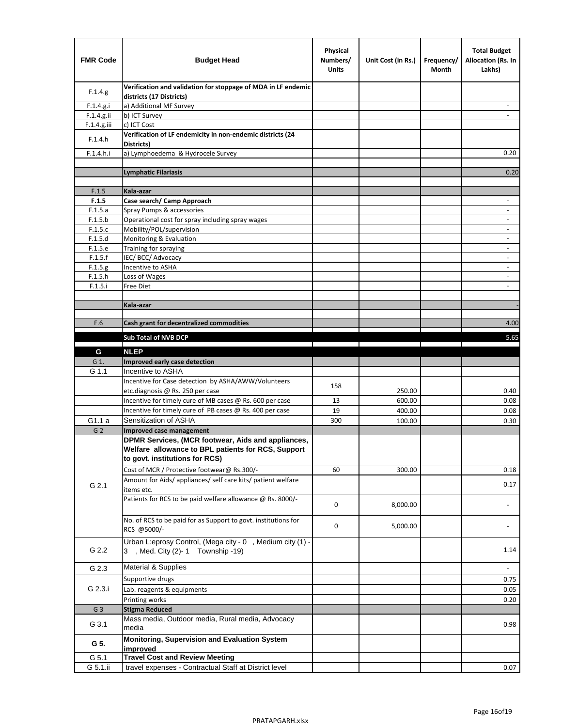| <b>FMR Code</b> | <b>Budget Head</b>                                                                                                                         | Physical<br>Numbers/<br><b>Units</b> | Unit Cost (in Rs.) | Frequency/<br>Month | <b>Total Budget</b><br><b>Allocation (Rs. In</b><br>Lakhs) |
|-----------------|--------------------------------------------------------------------------------------------------------------------------------------------|--------------------------------------|--------------------|---------------------|------------------------------------------------------------|
| F.1.4.g.        | Verification and validation for stoppage of MDA in LF endemic<br>districts (17 Districts)                                                  |                                      |                    |                     |                                                            |
| F.1.4.g.i       | a) Additional MF Survey                                                                                                                    |                                      |                    |                     |                                                            |
| F.1.4.g.ii      | b) ICT Survey                                                                                                                              |                                      |                    |                     |                                                            |
| $F.1.4.g.$ iii  | c) ICT Cost                                                                                                                                |                                      |                    |                     |                                                            |
| F.1.4.h         | Verification of LF endemicity in non-endemic districts (24<br>Districts)                                                                   |                                      |                    |                     |                                                            |
| F.1.4.h.i       | a) Lymphoedema & Hydrocele Survey                                                                                                          |                                      |                    |                     | 0.20                                                       |
|                 | Lymphatic Filariasis                                                                                                                       |                                      |                    |                     | 0.20                                                       |
|                 |                                                                                                                                            |                                      |                    |                     |                                                            |
| F.1.5           | Kala-azar                                                                                                                                  |                                      |                    |                     |                                                            |
| F.1.5           | Case search/ Camp Approach                                                                                                                 |                                      |                    |                     | $\overline{\phantom{a}}$                                   |
| F.1.5.a         | Spray Pumps & accessories                                                                                                                  |                                      |                    |                     | $\blacksquare$                                             |
| F.1.5.b         | Operational cost for spray including spray wages                                                                                           |                                      |                    |                     |                                                            |
| F.1.5.c         | Mobility/POL/supervision                                                                                                                   |                                      |                    |                     | $\overline{\phantom{a}}$                                   |
| F.1.5.d         | Monitoring & Evaluation                                                                                                                    |                                      |                    |                     |                                                            |
| F.1.5.e         | Training for spraying                                                                                                                      |                                      |                    |                     | $\blacksquare$                                             |
| F.1.5.f         | IEC/BCC/Advocacy                                                                                                                           |                                      |                    |                     | $\overline{a}$                                             |
| F.1.5.g         | Incentive to ASHA                                                                                                                          |                                      |                    |                     | $\overline{\phantom{a}}$                                   |
| F.1.5.h         | Loss of Wages                                                                                                                              |                                      |                    |                     | $\overline{\phantom{m}}$                                   |
| F.1.5.i         | Free Diet                                                                                                                                  |                                      |                    |                     |                                                            |
|                 |                                                                                                                                            |                                      |                    |                     |                                                            |
|                 | Kala-azar                                                                                                                                  |                                      |                    |                     |                                                            |
| F.6             | Cash grant for decentralized commodities                                                                                                   |                                      |                    |                     | 4.00                                                       |
|                 |                                                                                                                                            |                                      |                    |                     |                                                            |
|                 | <b>Sub Total of NVB DCP</b>                                                                                                                |                                      |                    |                     | 5.65                                                       |
| G               | <b>NLEP</b>                                                                                                                                |                                      |                    |                     |                                                            |
| G 1.            | Improved early case detection                                                                                                              |                                      |                    |                     |                                                            |
| G 1.1           | Incentive to ASHA                                                                                                                          |                                      |                    |                     |                                                            |
|                 | Incentive for Case detection by ASHA/AWW/Volunteers                                                                                        | 158                                  |                    |                     |                                                            |
|                 | etc.diagnosis @ Rs. 250 per case                                                                                                           |                                      | 250.00             |                     | 0.40                                                       |
|                 | Incentive for timely cure of MB cases @ Rs. 600 per case                                                                                   | 13                                   | 600.00             |                     | 0.08                                                       |
|                 | Incentive for timely cure of PB cases @ Rs. 400 per case                                                                                   | 19                                   | 400.00             |                     | 0.08                                                       |
| G1.1 a          | Sensitization of ASHA                                                                                                                      | 300                                  | 100.00             |                     | 0.30                                                       |
| G <sub>2</sub>  | <b>Improved case management</b>                                                                                                            |                                      |                    |                     |                                                            |
|                 | DPMR Services, (MCR footwear, Aids and appliances,<br>Welfare allowance to BPL patients for RCS, Support<br>to govt. institutions for RCS) |                                      |                    |                     |                                                            |
|                 | Cost of MCR / Protective footwear@ Rs.300/-                                                                                                | 60                                   | 300.00             |                     | 0.18                                                       |
| G 2.1           | Amount for Aids/ appliances/ self care kits/ patient welfare<br>items etc.                                                                 |                                      |                    |                     | 0.17                                                       |
|                 | Patients for RCS to be paid welfare allowance @ Rs. 8000/-                                                                                 | 0                                    | 8,000.00           |                     |                                                            |
|                 | No. of RCS to be paid for as Support to govt. institutions for<br>RCS @5000/-                                                              | 0                                    | 5,000.00           |                     |                                                            |
| G 2.2           | Urban L:eprosy Control, (Mega city - 0, Medium city (1) -<br>3 , Med. City (2)-1 Township -19)                                             |                                      |                    |                     | 1.14                                                       |
| G 2.3           | Material & Supplies                                                                                                                        |                                      |                    |                     | $\sim$                                                     |
| G 2.3.i         | Supportive drugs                                                                                                                           |                                      |                    |                     | 0.75                                                       |
|                 | Lab. reagents & equipments                                                                                                                 |                                      |                    |                     | 0.05                                                       |
|                 | Printing works                                                                                                                             |                                      |                    |                     | 0.20                                                       |
| G <sub>3</sub>  | <b>Stigma Reduced</b>                                                                                                                      |                                      |                    |                     |                                                            |
|                 | Mass media, Outdoor media, Rural media, Advocacy                                                                                           |                                      |                    |                     |                                                            |
| G 3.1           | media<br>Monitoring, Supervision and Evaluation System                                                                                     |                                      |                    |                     | 0.98                                                       |
| G 5.            | improved                                                                                                                                   |                                      |                    |                     |                                                            |
| G 5.1           | <b>Travel Cost and Review Meeting</b>                                                                                                      |                                      |                    |                     |                                                            |
| G 5.1.ii        | travel expenses - Contractual Staff at District level                                                                                      |                                      |                    |                     | 0.07                                                       |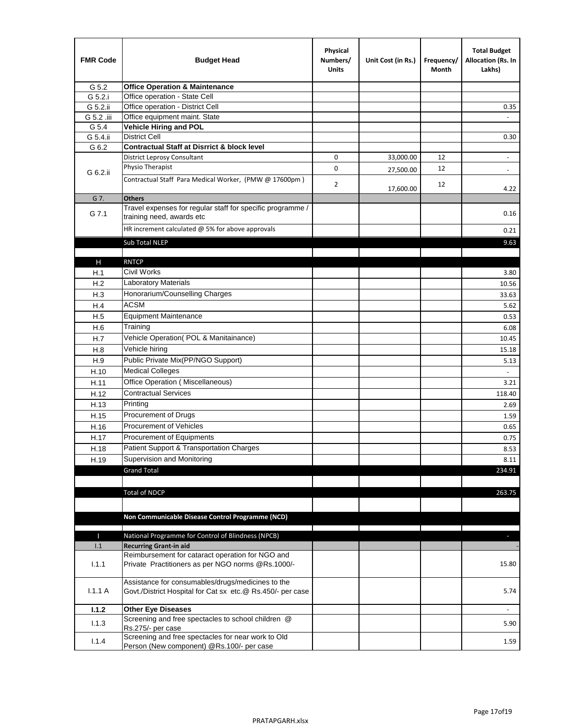| <b>FMR Code</b> | <b>Budget Head</b>                                                                                              | Physical<br>Numbers/<br><b>Units</b> | Unit Cost (in Rs.) | Frequency/<br>Month | <b>Total Budget</b><br>Allocation (Rs. In<br>Lakhs) |
|-----------------|-----------------------------------------------------------------------------------------------------------------|--------------------------------------|--------------------|---------------------|-----------------------------------------------------|
| G 5.2           | <b>Office Operation &amp; Maintenance</b>                                                                       |                                      |                    |                     |                                                     |
| G 5.2.i         | Office operation - State Cell                                                                                   |                                      |                    |                     |                                                     |
| G 5.2.ii        | Office operation - District Cell                                                                                |                                      |                    |                     | 0.35                                                |
| G 5.2 .iii      | Office equipment maint. State                                                                                   |                                      |                    |                     |                                                     |
| G 5.4           | <b>Vehicle Hiring and POL</b>                                                                                   |                                      |                    |                     |                                                     |
| G 5.4.ii        | <b>District Cell</b>                                                                                            |                                      |                    |                     | 0.30                                                |
| G 6.2           | <b>Contractual Staff at Disrrict &amp; block level</b>                                                          |                                      |                    |                     |                                                     |
|                 | <b>District Leprosy Consultant</b>                                                                              | 0                                    | 33,000.00          | 12                  |                                                     |
| G 6.2.ii        | Physio Therapist                                                                                                | 0                                    | 27,500.00          | 12                  | $\overline{\phantom{a}}$                            |
|                 | Contractual Staff Para Medical Worker, (PMW @ 17600pm)                                                          | 2                                    | 17,600.00          | 12                  | 4.22                                                |
| G 7.            | <b>Others</b>                                                                                                   |                                      |                    |                     |                                                     |
| G 7.1           | Travel expenses for regular staff for specific programme /<br>training need, awards etc                         |                                      |                    |                     | 0.16                                                |
|                 | HR increment calculated $@$ 5% for above approvals                                                              |                                      |                    |                     | 0.21                                                |
|                 | Sub Total NLEP                                                                                                  |                                      |                    |                     | 9.63                                                |
|                 |                                                                                                                 |                                      |                    |                     |                                                     |
| н               | <b>RNTCP</b>                                                                                                    |                                      |                    |                     |                                                     |
| H.1             | Civil Works                                                                                                     |                                      |                    |                     | 3.80                                                |
| H.2             | Laboratory Materials                                                                                            |                                      |                    |                     | 10.56                                               |
| H.3             | Honorarium/Counselling Charges                                                                                  |                                      |                    |                     | 33.63                                               |
| H.4             | <b>ACSM</b>                                                                                                     |                                      |                    |                     | 5.62                                                |
| H.5             | <b>Equipment Maintenance</b>                                                                                    |                                      |                    |                     | 0.53                                                |
| H.6             | Training                                                                                                        |                                      |                    |                     | 6.08                                                |
| H.7             | Vehicle Operation(POL & Manitainance)                                                                           |                                      |                    |                     | 10.45                                               |
| H.8             | Vehicle hiring                                                                                                  |                                      |                    |                     | 15.18                                               |
| H.9             | Public Private Mix(PP/NGO Support)                                                                              |                                      |                    |                     | 5.13                                                |
| H.10            | <b>Medical Colleges</b>                                                                                         |                                      |                    |                     |                                                     |
| H.11            | Office Operation (Miscellaneous)                                                                                |                                      |                    |                     | 3.21                                                |
| H.12            | <b>Contractual Services</b>                                                                                     |                                      |                    |                     | 118.40                                              |
| H.13            | Printing                                                                                                        |                                      |                    |                     | 2.69                                                |
| H.15            | Procurement of Drugs                                                                                            |                                      |                    |                     | 1.59                                                |
| H.16            | Procurement of Vehicles                                                                                         |                                      |                    |                     | 0.65                                                |
|                 | Procurement of Equipments                                                                                       |                                      |                    |                     | 0.75                                                |
| H.17            | Patient Support & Transportation Charges                                                                        |                                      |                    |                     | 8.53                                                |
| H.18            | Supervision and Monitoring                                                                                      |                                      |                    |                     |                                                     |
| H.19            | <b>Grand Total</b>                                                                                              |                                      |                    |                     | 8.11                                                |
|                 |                                                                                                                 |                                      |                    |                     | 234.91                                              |
|                 |                                                                                                                 |                                      |                    |                     |                                                     |
|                 | <b>Total of NDCP</b>                                                                                            |                                      |                    |                     | 263.75                                              |
|                 |                                                                                                                 |                                      |                    |                     |                                                     |
|                 | Non Communicable Disease Control Programme (NCD)                                                                |                                      |                    |                     |                                                     |
| П               | National Programme for Control of Blindness (NPCB)                                                              |                                      |                    |                     | $\overline{\phantom{a}}$                            |
| 1.1             | <b>Recurring Grant-in aid</b>                                                                                   |                                      |                    |                     |                                                     |
|                 | Reimbursement for cataract operation for NGO and                                                                |                                      |                    |                     |                                                     |
| 1.1.1           | Private Practitioners as per NGO norms @Rs.1000/-                                                               |                                      |                    |                     | 15.80                                               |
| 1.1.1A          | Assistance for consumables/drugs/medicines to the<br>Govt./District Hospital for Cat sx etc.@ Rs.450/- per case |                                      |                    |                     | 5.74                                                |
| 1.1.2           | <b>Other Eye Diseases</b>                                                                                       |                                      |                    |                     |                                                     |
|                 | Screening and free spectacles to school children @                                                              |                                      |                    |                     |                                                     |
| 1.1.3           | Rs.275/- per case                                                                                               |                                      |                    |                     | 5.90                                                |
| 1.1.4           | Screening and free spectacles for near work to Old                                                              |                                      |                    |                     | 1.59                                                |
|                 | Person (New component) @Rs.100/- per case                                                                       |                                      |                    |                     |                                                     |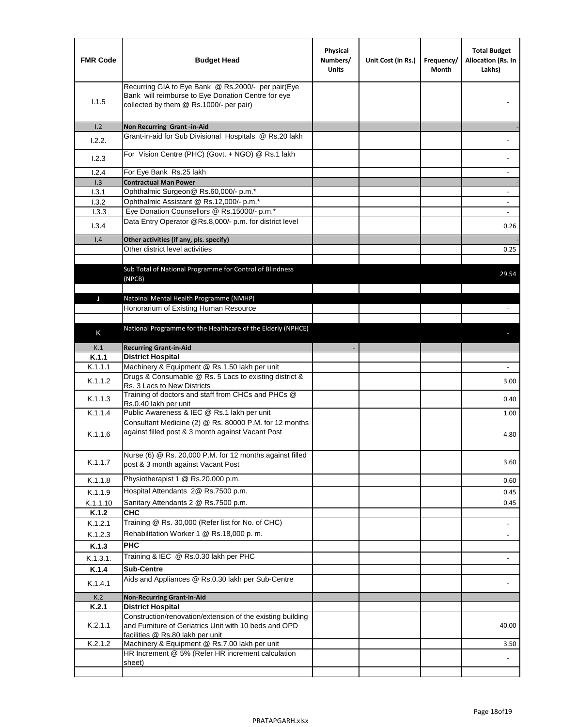| Recurring GIA to Eye Bank @ Rs.2000/- per pair(Eye<br>Bank will reimburse to Eye Donation Centre for eye<br>1.1.5<br>collected by them @ Rs.1000/- per pair)<br>1.2<br>Non Recurring Grant -in-Aid<br>Grant-in-aid for Sub Divisional Hospitals @ Rs.20 lakh<br>1.2.2.<br>For Vision Centre (PHC) (Govt. + NGO) @ Rs.1 lakh<br>1.2.3<br>For Eye Bank Rs.25 lakh<br>1.2.4<br>1.3<br><b>Contractual Man Power</b><br>Ophthalmic Surgeon@ Rs.60,000/- p.m.*<br>1.3.1<br>Ophthalmic Assistant @ Rs.12,000/- p.m.*<br>1.3.2<br>Eye Donation Counsellors @ Rs.15000/- p.m.*<br>1.3.3<br>Data Entry Operator @Rs.8,000/- p.m. for district level<br>1.3.4<br>1.4<br>Other activities (if any, pls. specify)<br>Other district level activities<br>Sub Total of National Programme for Control of Blindness<br>(NPCB)<br>Natoinal Mental Health Programme (NMHP)<br>J<br>Honorarium of Existing Human Resource<br>National Programme for the Healthcare of the Elderly (NPHCE)<br>K<br><b>Recurring Grant-in-Aid</b><br>K.1<br>K.1.1<br><b>District Hospital</b><br>Machinery & Equipment @ Rs.1.50 lakh per unit<br>K.1.1.1<br>Drugs & Consumable @ Rs. 5 Lacs to existing district &<br>K.1.1.2<br>Rs. 3 Lacs to New Districts<br>Training of doctors and staff from CHCs and PHCs @<br>K.1.1.3<br>Rs.0.40 lakh per unit<br>Public Awareness & IEC @ Rs.1 lakh per unit<br>K.1.1.4<br>Consultant Medicine (2) @ Rs. 80000 P.M. for 12 months<br>against filled post & 3 month against Vacant Post<br>K.1.1.6<br>Nurse (6) @ Rs. 20,000 P.M. for 12 months against filled<br>K.1.1.7<br>post & 3 month against Vacant Post<br>Physiotherapist 1 @ Rs.20,000 p.m.<br>K.1.1.8<br>Hospital Attendants 2@ Rs.7500 p.m.<br>K.1.1.9<br>Sanitary Attendants 2 @ Rs.7500 p.m.<br>K.1.1.10<br><b>CHC</b><br>K.1.2<br>Training @ Rs. 30,000 (Refer list for No. of CHC)<br>K.1.2.1<br>Rehabilitation Worker 1 @ Rs.18,000 p. m.<br>K.1.2.3<br><b>PHC</b><br>K.1.3<br>Training & IEC @ Rs.0.30 lakh per PHC<br>K.1.3.1.<br>K.1.4<br><b>Sub-Centre</b><br>Aids and Appliances @ Rs.0.30 lakh per Sub-Centre<br>K.1.4.1<br>K.2<br><b>Non-Recurring Grant-in-Aid</b><br><b>District Hospital</b><br>K.2.1 | <b>FMR Code</b> | <b>Budget Head</b> | Physical<br>Numbers/<br><b>Units</b> | Unit Cost (in Rs.) | Frequency/<br>Month | <b>Total Budget</b><br>Allocation (Rs. In<br>Lakhs) |
|--------------------------------------------------------------------------------------------------------------------------------------------------------------------------------------------------------------------------------------------------------------------------------------------------------------------------------------------------------------------------------------------------------------------------------------------------------------------------------------------------------------------------------------------------------------------------------------------------------------------------------------------------------------------------------------------------------------------------------------------------------------------------------------------------------------------------------------------------------------------------------------------------------------------------------------------------------------------------------------------------------------------------------------------------------------------------------------------------------------------------------------------------------------------------------------------------------------------------------------------------------------------------------------------------------------------------------------------------------------------------------------------------------------------------------------------------------------------------------------------------------------------------------------------------------------------------------------------------------------------------------------------------------------------------------------------------------------------------------------------------------------------------------------------------------------------------------------------------------------------------------------------------------------------------------------------------------------------------------------------------------------------------------------------------------------------------------------------------------------------------------------------------------------------------------------|-----------------|--------------------|--------------------------------------|--------------------|---------------------|-----------------------------------------------------|
|                                                                                                                                                                                                                                                                                                                                                                                                                                                                                                                                                                                                                                                                                                                                                                                                                                                                                                                                                                                                                                                                                                                                                                                                                                                                                                                                                                                                                                                                                                                                                                                                                                                                                                                                                                                                                                                                                                                                                                                                                                                                                                                                                                                      |                 |                    |                                      |                    |                     |                                                     |
|                                                                                                                                                                                                                                                                                                                                                                                                                                                                                                                                                                                                                                                                                                                                                                                                                                                                                                                                                                                                                                                                                                                                                                                                                                                                                                                                                                                                                                                                                                                                                                                                                                                                                                                                                                                                                                                                                                                                                                                                                                                                                                                                                                                      |                 |                    |                                      |                    |                     |                                                     |
|                                                                                                                                                                                                                                                                                                                                                                                                                                                                                                                                                                                                                                                                                                                                                                                                                                                                                                                                                                                                                                                                                                                                                                                                                                                                                                                                                                                                                                                                                                                                                                                                                                                                                                                                                                                                                                                                                                                                                                                                                                                                                                                                                                                      |                 |                    |                                      |                    |                     |                                                     |
|                                                                                                                                                                                                                                                                                                                                                                                                                                                                                                                                                                                                                                                                                                                                                                                                                                                                                                                                                                                                                                                                                                                                                                                                                                                                                                                                                                                                                                                                                                                                                                                                                                                                                                                                                                                                                                                                                                                                                                                                                                                                                                                                                                                      |                 |                    |                                      |                    |                     |                                                     |
|                                                                                                                                                                                                                                                                                                                                                                                                                                                                                                                                                                                                                                                                                                                                                                                                                                                                                                                                                                                                                                                                                                                                                                                                                                                                                                                                                                                                                                                                                                                                                                                                                                                                                                                                                                                                                                                                                                                                                                                                                                                                                                                                                                                      |                 |                    |                                      |                    |                     | $\overline{\phantom{a}}$                            |
|                                                                                                                                                                                                                                                                                                                                                                                                                                                                                                                                                                                                                                                                                                                                                                                                                                                                                                                                                                                                                                                                                                                                                                                                                                                                                                                                                                                                                                                                                                                                                                                                                                                                                                                                                                                                                                                                                                                                                                                                                                                                                                                                                                                      |                 |                    |                                      |                    |                     |                                                     |
|                                                                                                                                                                                                                                                                                                                                                                                                                                                                                                                                                                                                                                                                                                                                                                                                                                                                                                                                                                                                                                                                                                                                                                                                                                                                                                                                                                                                                                                                                                                                                                                                                                                                                                                                                                                                                                                                                                                                                                                                                                                                                                                                                                                      |                 |                    |                                      |                    |                     | $\sim$                                              |
|                                                                                                                                                                                                                                                                                                                                                                                                                                                                                                                                                                                                                                                                                                                                                                                                                                                                                                                                                                                                                                                                                                                                                                                                                                                                                                                                                                                                                                                                                                                                                                                                                                                                                                                                                                                                                                                                                                                                                                                                                                                                                                                                                                                      |                 |                    |                                      |                    |                     | $\sim$                                              |
|                                                                                                                                                                                                                                                                                                                                                                                                                                                                                                                                                                                                                                                                                                                                                                                                                                                                                                                                                                                                                                                                                                                                                                                                                                                                                                                                                                                                                                                                                                                                                                                                                                                                                                                                                                                                                                                                                                                                                                                                                                                                                                                                                                                      |                 |                    |                                      |                    |                     |                                                     |
|                                                                                                                                                                                                                                                                                                                                                                                                                                                                                                                                                                                                                                                                                                                                                                                                                                                                                                                                                                                                                                                                                                                                                                                                                                                                                                                                                                                                                                                                                                                                                                                                                                                                                                                                                                                                                                                                                                                                                                                                                                                                                                                                                                                      |                 |                    |                                      |                    |                     | 0.26                                                |
|                                                                                                                                                                                                                                                                                                                                                                                                                                                                                                                                                                                                                                                                                                                                                                                                                                                                                                                                                                                                                                                                                                                                                                                                                                                                                                                                                                                                                                                                                                                                                                                                                                                                                                                                                                                                                                                                                                                                                                                                                                                                                                                                                                                      |                 |                    |                                      |                    |                     |                                                     |
|                                                                                                                                                                                                                                                                                                                                                                                                                                                                                                                                                                                                                                                                                                                                                                                                                                                                                                                                                                                                                                                                                                                                                                                                                                                                                                                                                                                                                                                                                                                                                                                                                                                                                                                                                                                                                                                                                                                                                                                                                                                                                                                                                                                      |                 |                    |                                      |                    |                     | 0.25                                                |
|                                                                                                                                                                                                                                                                                                                                                                                                                                                                                                                                                                                                                                                                                                                                                                                                                                                                                                                                                                                                                                                                                                                                                                                                                                                                                                                                                                                                                                                                                                                                                                                                                                                                                                                                                                                                                                                                                                                                                                                                                                                                                                                                                                                      |                 |                    |                                      |                    |                     | 29.54                                               |
|                                                                                                                                                                                                                                                                                                                                                                                                                                                                                                                                                                                                                                                                                                                                                                                                                                                                                                                                                                                                                                                                                                                                                                                                                                                                                                                                                                                                                                                                                                                                                                                                                                                                                                                                                                                                                                                                                                                                                                                                                                                                                                                                                                                      |                 |                    |                                      |                    |                     |                                                     |
|                                                                                                                                                                                                                                                                                                                                                                                                                                                                                                                                                                                                                                                                                                                                                                                                                                                                                                                                                                                                                                                                                                                                                                                                                                                                                                                                                                                                                                                                                                                                                                                                                                                                                                                                                                                                                                                                                                                                                                                                                                                                                                                                                                                      |                 |                    |                                      |                    |                     |                                                     |
|                                                                                                                                                                                                                                                                                                                                                                                                                                                                                                                                                                                                                                                                                                                                                                                                                                                                                                                                                                                                                                                                                                                                                                                                                                                                                                                                                                                                                                                                                                                                                                                                                                                                                                                                                                                                                                                                                                                                                                                                                                                                                                                                                                                      |                 |                    |                                      |                    |                     |                                                     |
|                                                                                                                                                                                                                                                                                                                                                                                                                                                                                                                                                                                                                                                                                                                                                                                                                                                                                                                                                                                                                                                                                                                                                                                                                                                                                                                                                                                                                                                                                                                                                                                                                                                                                                                                                                                                                                                                                                                                                                                                                                                                                                                                                                                      |                 |                    |                                      |                    |                     |                                                     |
|                                                                                                                                                                                                                                                                                                                                                                                                                                                                                                                                                                                                                                                                                                                                                                                                                                                                                                                                                                                                                                                                                                                                                                                                                                                                                                                                                                                                                                                                                                                                                                                                                                                                                                                                                                                                                                                                                                                                                                                                                                                                                                                                                                                      |                 |                    |                                      |                    |                     |                                                     |
|                                                                                                                                                                                                                                                                                                                                                                                                                                                                                                                                                                                                                                                                                                                                                                                                                                                                                                                                                                                                                                                                                                                                                                                                                                                                                                                                                                                                                                                                                                                                                                                                                                                                                                                                                                                                                                                                                                                                                                                                                                                                                                                                                                                      |                 |                    |                                      |                    |                     |                                                     |
|                                                                                                                                                                                                                                                                                                                                                                                                                                                                                                                                                                                                                                                                                                                                                                                                                                                                                                                                                                                                                                                                                                                                                                                                                                                                                                                                                                                                                                                                                                                                                                                                                                                                                                                                                                                                                                                                                                                                                                                                                                                                                                                                                                                      |                 |                    |                                      |                    |                     |                                                     |
|                                                                                                                                                                                                                                                                                                                                                                                                                                                                                                                                                                                                                                                                                                                                                                                                                                                                                                                                                                                                                                                                                                                                                                                                                                                                                                                                                                                                                                                                                                                                                                                                                                                                                                                                                                                                                                                                                                                                                                                                                                                                                                                                                                                      |                 |                    |                                      |                    |                     |                                                     |
|                                                                                                                                                                                                                                                                                                                                                                                                                                                                                                                                                                                                                                                                                                                                                                                                                                                                                                                                                                                                                                                                                                                                                                                                                                                                                                                                                                                                                                                                                                                                                                                                                                                                                                                                                                                                                                                                                                                                                                                                                                                                                                                                                                                      |                 |                    |                                      |                    |                     | 3.00                                                |
|                                                                                                                                                                                                                                                                                                                                                                                                                                                                                                                                                                                                                                                                                                                                                                                                                                                                                                                                                                                                                                                                                                                                                                                                                                                                                                                                                                                                                                                                                                                                                                                                                                                                                                                                                                                                                                                                                                                                                                                                                                                                                                                                                                                      |                 |                    |                                      |                    |                     | 0.40                                                |
|                                                                                                                                                                                                                                                                                                                                                                                                                                                                                                                                                                                                                                                                                                                                                                                                                                                                                                                                                                                                                                                                                                                                                                                                                                                                                                                                                                                                                                                                                                                                                                                                                                                                                                                                                                                                                                                                                                                                                                                                                                                                                                                                                                                      |                 |                    |                                      |                    |                     | 1.00                                                |
|                                                                                                                                                                                                                                                                                                                                                                                                                                                                                                                                                                                                                                                                                                                                                                                                                                                                                                                                                                                                                                                                                                                                                                                                                                                                                                                                                                                                                                                                                                                                                                                                                                                                                                                                                                                                                                                                                                                                                                                                                                                                                                                                                                                      |                 |                    |                                      |                    |                     | 4.80                                                |
|                                                                                                                                                                                                                                                                                                                                                                                                                                                                                                                                                                                                                                                                                                                                                                                                                                                                                                                                                                                                                                                                                                                                                                                                                                                                                                                                                                                                                                                                                                                                                                                                                                                                                                                                                                                                                                                                                                                                                                                                                                                                                                                                                                                      |                 |                    |                                      |                    |                     | 3.60                                                |
|                                                                                                                                                                                                                                                                                                                                                                                                                                                                                                                                                                                                                                                                                                                                                                                                                                                                                                                                                                                                                                                                                                                                                                                                                                                                                                                                                                                                                                                                                                                                                                                                                                                                                                                                                                                                                                                                                                                                                                                                                                                                                                                                                                                      |                 |                    |                                      |                    |                     | 0.60                                                |
|                                                                                                                                                                                                                                                                                                                                                                                                                                                                                                                                                                                                                                                                                                                                                                                                                                                                                                                                                                                                                                                                                                                                                                                                                                                                                                                                                                                                                                                                                                                                                                                                                                                                                                                                                                                                                                                                                                                                                                                                                                                                                                                                                                                      |                 |                    |                                      |                    |                     | 0.45                                                |
|                                                                                                                                                                                                                                                                                                                                                                                                                                                                                                                                                                                                                                                                                                                                                                                                                                                                                                                                                                                                                                                                                                                                                                                                                                                                                                                                                                                                                                                                                                                                                                                                                                                                                                                                                                                                                                                                                                                                                                                                                                                                                                                                                                                      |                 |                    |                                      |                    |                     | 0.45                                                |
|                                                                                                                                                                                                                                                                                                                                                                                                                                                                                                                                                                                                                                                                                                                                                                                                                                                                                                                                                                                                                                                                                                                                                                                                                                                                                                                                                                                                                                                                                                                                                                                                                                                                                                                                                                                                                                                                                                                                                                                                                                                                                                                                                                                      |                 |                    |                                      |                    |                     |                                                     |
|                                                                                                                                                                                                                                                                                                                                                                                                                                                                                                                                                                                                                                                                                                                                                                                                                                                                                                                                                                                                                                                                                                                                                                                                                                                                                                                                                                                                                                                                                                                                                                                                                                                                                                                                                                                                                                                                                                                                                                                                                                                                                                                                                                                      |                 |                    |                                      |                    |                     |                                                     |
|                                                                                                                                                                                                                                                                                                                                                                                                                                                                                                                                                                                                                                                                                                                                                                                                                                                                                                                                                                                                                                                                                                                                                                                                                                                                                                                                                                                                                                                                                                                                                                                                                                                                                                                                                                                                                                                                                                                                                                                                                                                                                                                                                                                      |                 |                    |                                      |                    |                     |                                                     |
|                                                                                                                                                                                                                                                                                                                                                                                                                                                                                                                                                                                                                                                                                                                                                                                                                                                                                                                                                                                                                                                                                                                                                                                                                                                                                                                                                                                                                                                                                                                                                                                                                                                                                                                                                                                                                                                                                                                                                                                                                                                                                                                                                                                      |                 |                    |                                      |                    |                     |                                                     |
|                                                                                                                                                                                                                                                                                                                                                                                                                                                                                                                                                                                                                                                                                                                                                                                                                                                                                                                                                                                                                                                                                                                                                                                                                                                                                                                                                                                                                                                                                                                                                                                                                                                                                                                                                                                                                                                                                                                                                                                                                                                                                                                                                                                      |                 |                    |                                      |                    |                     |                                                     |
|                                                                                                                                                                                                                                                                                                                                                                                                                                                                                                                                                                                                                                                                                                                                                                                                                                                                                                                                                                                                                                                                                                                                                                                                                                                                                                                                                                                                                                                                                                                                                                                                                                                                                                                                                                                                                                                                                                                                                                                                                                                                                                                                                                                      |                 |                    |                                      |                    |                     |                                                     |
|                                                                                                                                                                                                                                                                                                                                                                                                                                                                                                                                                                                                                                                                                                                                                                                                                                                                                                                                                                                                                                                                                                                                                                                                                                                                                                                                                                                                                                                                                                                                                                                                                                                                                                                                                                                                                                                                                                                                                                                                                                                                                                                                                                                      |                 |                    |                                      |                    |                     |                                                     |
|                                                                                                                                                                                                                                                                                                                                                                                                                                                                                                                                                                                                                                                                                                                                                                                                                                                                                                                                                                                                                                                                                                                                                                                                                                                                                                                                                                                                                                                                                                                                                                                                                                                                                                                                                                                                                                                                                                                                                                                                                                                                                                                                                                                      |                 |                    |                                      |                    |                     |                                                     |
|                                                                                                                                                                                                                                                                                                                                                                                                                                                                                                                                                                                                                                                                                                                                                                                                                                                                                                                                                                                                                                                                                                                                                                                                                                                                                                                                                                                                                                                                                                                                                                                                                                                                                                                                                                                                                                                                                                                                                                                                                                                                                                                                                                                      |                 |                    |                                      |                    |                     |                                                     |
|                                                                                                                                                                                                                                                                                                                                                                                                                                                                                                                                                                                                                                                                                                                                                                                                                                                                                                                                                                                                                                                                                                                                                                                                                                                                                                                                                                                                                                                                                                                                                                                                                                                                                                                                                                                                                                                                                                                                                                                                                                                                                                                                                                                      |                 |                    |                                      |                    |                     |                                                     |
| Construction/renovation/extension of the existing building<br>K.2.1.1<br>and Furniture of Geriatrics Unit with 10 beds and OPD<br>facilities @ Rs.80 lakh per unit                                                                                                                                                                                                                                                                                                                                                                                                                                                                                                                                                                                                                                                                                                                                                                                                                                                                                                                                                                                                                                                                                                                                                                                                                                                                                                                                                                                                                                                                                                                                                                                                                                                                                                                                                                                                                                                                                                                                                                                                                   |                 |                    |                                      |                    |                     | 40.00                                               |
| K.2.1.2<br>Machinery & Equipment @ Rs.7.00 lakh per unit                                                                                                                                                                                                                                                                                                                                                                                                                                                                                                                                                                                                                                                                                                                                                                                                                                                                                                                                                                                                                                                                                                                                                                                                                                                                                                                                                                                                                                                                                                                                                                                                                                                                                                                                                                                                                                                                                                                                                                                                                                                                                                                             |                 |                    |                                      |                    |                     | 3.50                                                |
| HR Increment @ 5% (Refer HR increment calculation                                                                                                                                                                                                                                                                                                                                                                                                                                                                                                                                                                                                                                                                                                                                                                                                                                                                                                                                                                                                                                                                                                                                                                                                                                                                                                                                                                                                                                                                                                                                                                                                                                                                                                                                                                                                                                                                                                                                                                                                                                                                                                                                    |                 |                    |                                      |                    |                     |                                                     |
| sheet)                                                                                                                                                                                                                                                                                                                                                                                                                                                                                                                                                                                                                                                                                                                                                                                                                                                                                                                                                                                                                                                                                                                                                                                                                                                                                                                                                                                                                                                                                                                                                                                                                                                                                                                                                                                                                                                                                                                                                                                                                                                                                                                                                                               |                 |                    |                                      |                    |                     |                                                     |